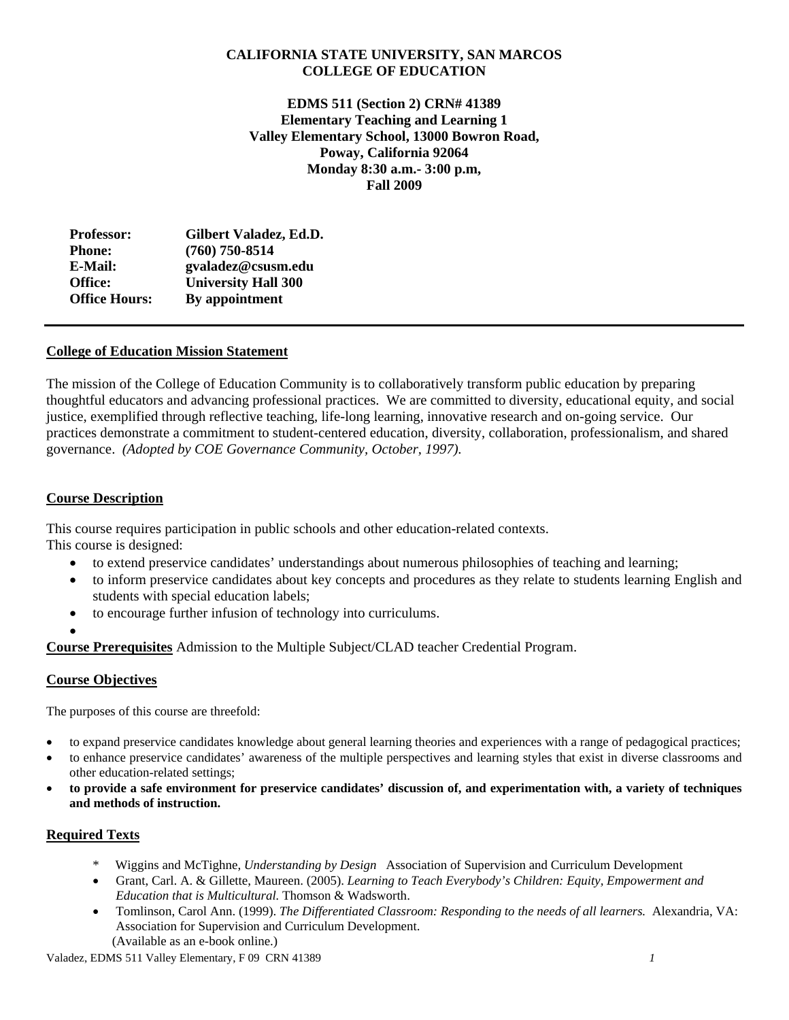# **CALIFORNIA STATE UNIVERSITY, SAN MARCOS COLLEGE OF EDUCATION**

 **Monday 8:30 a.m.- 3:00 p.m, EDMS 511 (Section 2) CRN# 41389 Elementary Teaching and Learning 1 Valley Elementary School, 13000 Bowron Road, Poway, California 92064 Fall 2009**

| Gilbert Valadez, Ed.D.     |
|----------------------------|
| $(760)$ 750-8514           |
| gvaladez@csusm.edu         |
| <b>University Hall 300</b> |
| By appointment             |
|                            |

# **College of Education Mission Statement**

The mission of the College of Education Community is to collaboratively transform public education by preparing thoughtful educators and advancing professional practices. We are committed to diversity, educational equity, and social justice, exemplified through reflective teaching, life-long learning, innovative research and on-going service. Our practices demonstrate a commitment to student-centered education, diversity, collaboration, professionalism, and shared governance. *(Adopted by COE Governance Community, October, 1997).* 

# **Course Description**

This course requires participation in public schools and other education-related contexts. This course is designed:

- to extend preservice candidates' understandings about numerous philosophies of teaching and learning;
- to inform preservice candidates about key concepts and procedures as they relate to students learning English and students with special education labels;
- to encourage further infusion of technology into curriculums.
- •

**Course Prerequisites** Admission to the Multiple Subject/CLAD teacher Credential Program.

# **Course Objectives**

The purposes of this course are threefold:

- to expand preservice candidates knowledge about general learning theories and experiences with a range of pedagogical practices;
- to enhance preservice candidates' awareness of the multiple perspectives and learning styles that exist in diverse classrooms and other education-related settings;
- • **to provide a safe environment for preservice candidates' discussion of, and experimentation with, a variety of techniques and methods of instruction.**

# **Required Texts**

- \* Wiggins and McTighne, *Understanding by Design* Association of Supervision and Curriculum Development
- *Education that is Multicultural.* Thomson & Wadsworth. Grant, Carl. A. & Gillette, Maureen. (2005). *Learning to Teach Everybody's Children: Equity, Empowerment and*
- Association for Supervision and Curriculum Development. Tomlinson, Carol Ann. (1999). *The Differentiated Classroom: Responding to the needs of all learners.* Alexandria, VA:
	- (Available as an e-book online.)

Valadez, EDMS 511 Valley Elementary, F 09 CRN 41389 *1*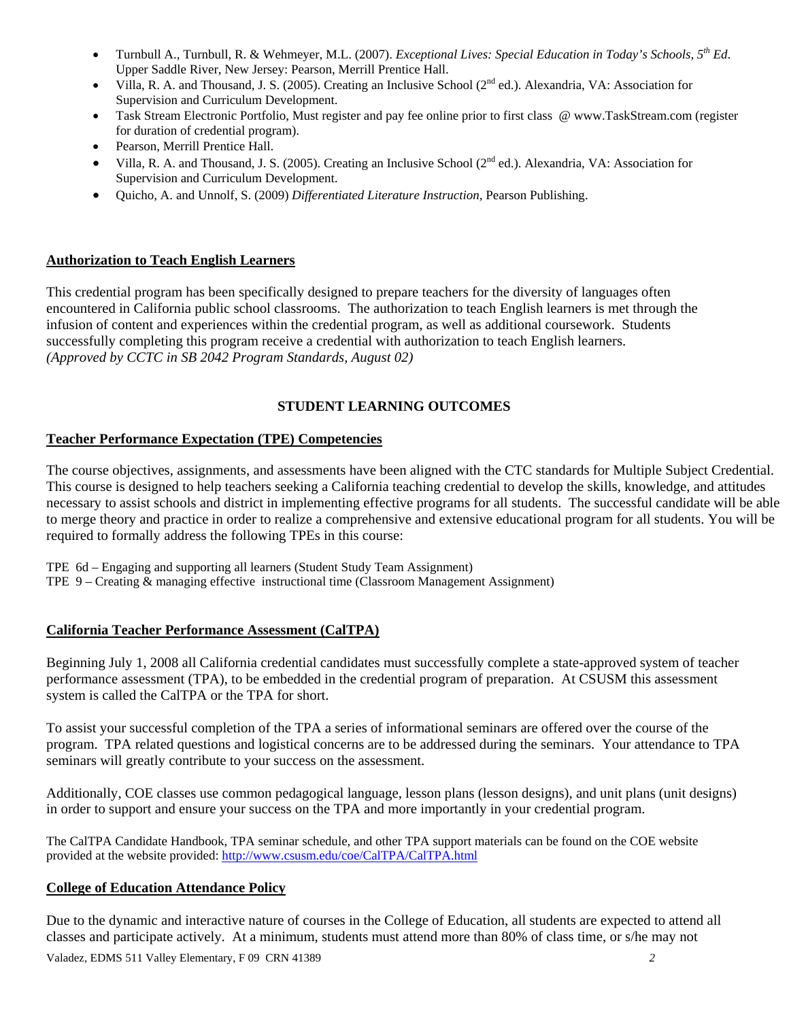- • Turnbull A., Turnbull, R. & Wehmeyer, M.L. (2007). *Exceptional Lives: Special Education in Today's Schools, 5th Ed*. Upper Saddle River, New Jersey: Pearson, Merrill Prentice Hall.
- Supervision and Curriculum Development. Villa, R. A. and Thousand, J. S. (2005). Creating an Inclusive School ( $2<sup>nd</sup>$  ed.). Alexandria, VA: Association for
- Task Stream Electronic Portfolio, Must register and pay fee online prior to first class @ www.TaskStream.com (register for duration of credential program).
- Pearson, Merrill Prentice Hall.
- Villa, R. A. and Thousand, J. S. (2005). Creating an Inclusive School (2<sup>nd</sup> ed.). Alexandria, VA: Association for Supervision and Curriculum Development.
- • Quicho, A. and Unnolf, S. (2009) *Differentiated Literature Instruction,* Pearson Publishing.

# **Authorization to Teach English Learners**

This credential program has been specifically designed to prepare teachers for the diversity of languages often encountered in California public school classrooms. The authorization to teach English learners is met through the infusion of content and experiences within the credential program, as well as additional coursework. Students successfully completing this program receive a credential with authorization to teach English learners. *(Approved by CCTC in SB 2042 Program Standards, August 02)* 

# **STUDENT LEARNING OUTCOMES**

# **Teacher Performance Expectation (TPE) Competencies**

The course objectives, assignments, and assessments have been aligned with the CTC standards for Multiple Subject Credential. This course is designed to help teachers seeking a California teaching credential to develop the skills, knowledge, and attitudes necessary to assist schools and district in implementing effective programs for all students. The successful candidate will be able to merge theory and practice in order to realize a comprehensive and extensive educational program for all students. You will be required to formally address the following TPEs in this course:

TPE 6d – Engaging and supporting all learners (Student Study Team Assignment)

TPE 9 – Creating & managing effective instructional time (Classroom Management Assignment)

# **California Teacher Performance Assessment (CalTPA)**

Beginning July 1, 2008 all California credential candidates must successfully complete a state-approved system of teacher performance assessment (TPA), to be embedded in the credential program of preparation. At CSUSM this assessment system is called the CalTPA or the TPA for short.

seminars will greatly contribute to your success on the assessment. To assist your successful completion of the TPA a series of informational seminars are offered over the course of the program. TPA related questions and logistical concerns are to be addressed during the seminars. Your attendance to TPA

Additionally, COE classes use common pedagogical language, lesson plans (lesson designs), and unit plans (unit designs) in order to support and ensure your success on the TPA and more importantly in your credential program.

The CalTPA Candidate Handbook, TPA seminar schedule, and other TPA support materials can be found on the COE website provided at the website provided: http://www.csusm.edu/coe/CalTPA/CalTPA.html

# **College of Education Attendance Policy**

Due to the dynamic and interactive nature of courses in the College of Education, all students are expected to attend all classes and participate actively. At a minimum, students must attend more than 80% of class time, or s/he may not

Valadez, EDMS 511 Valley Elementary, F 09 CRN 41389 *2*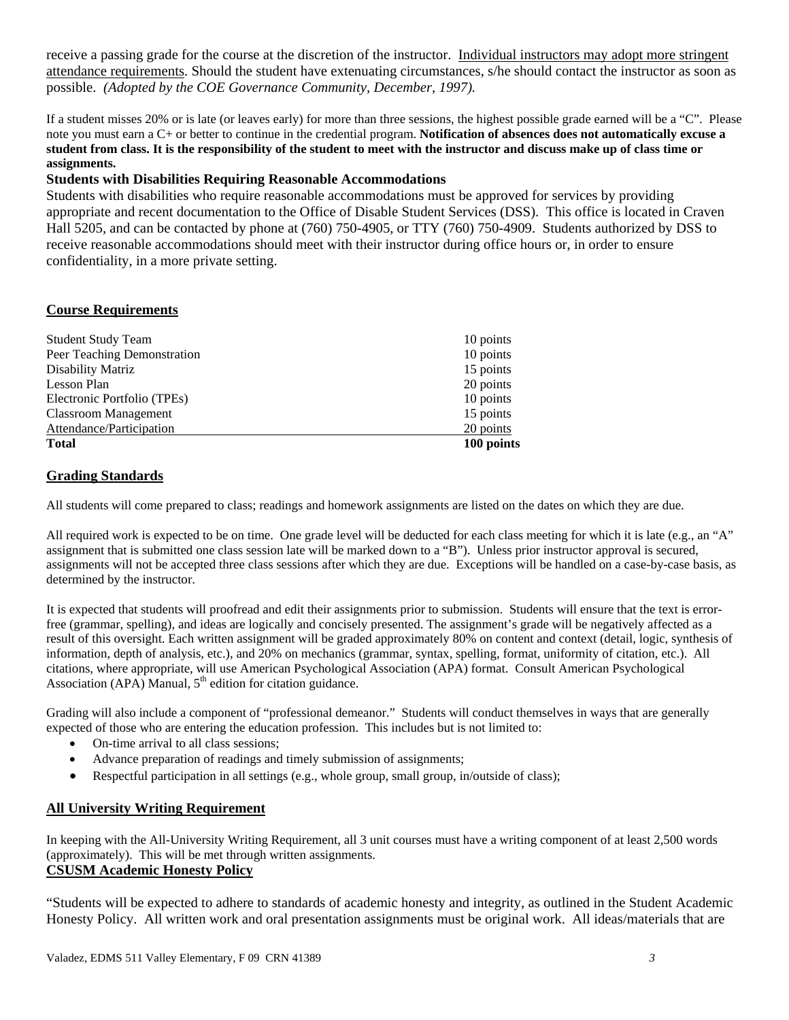possible. *(Adopted by the COE Governance Community, December, 1997).* receive a passing grade for the course at the discretion of the instructor. Individual instructors may adopt more stringent attendance requirements. Should the student have extenuating circumstances, s/he should contact the instructor as soon as

 If a student misses 20% or is late (or leaves early) for more than three sessions, the highest possible grade earned will be a "C". Please note you must earn a C+ or better to continue in the credential program. **Notification of absences does not automatically excuse a student from class. It is the responsibility of the student to meet with the instructor and discuss make up of class time or assignments.** 

# **Students with Disabilities Requiring Reasonable Accommodations**

Students with disabilities who require reasonable accommodations must be approved for services by providing appropriate and recent documentation to the Office of Disable Student Services (DSS). This office is located in Craven Hall 5205, and can be contacted by phone at (760) 750-4905, or TTY (760) 750-4909. Students authorized by DSS to receive reasonable accommodations should meet with their instructor during office hours or, in order to ensure confidentiality, in a more private setting.

# **Course Requirements**

| <b>Student Study Team</b>   | 10 points  |
|-----------------------------|------------|
| Peer Teaching Demonstration | 10 points  |
| Disability Matriz           | 15 points  |
| Lesson Plan                 | 20 points  |
| Electronic Portfolio (TPEs) | 10 points  |
| <b>Classroom Management</b> | 15 points  |
| Attendance/Participation    | 20 points  |
| <b>Total</b>                | 100 points |

# **Grading Standards**

All students will come prepared to class; readings and homework assignments are listed on the dates on which they are due.

All required work is expected to be on time. One grade level will be deducted for each class meeting for which it is late (e.g., an "A" assignment that is submitted one class session late will be marked down to a "B"). Unless prior instructor approval is secured, assignments will not be accepted three class sessions after which they are due. Exceptions will be handled on a case-by-case basis, as determined by the instructor.

 It is expected that students will proofread and edit their assignments prior to submission. Students will ensure that the text is error- information, depth of analysis, etc.), and 20% on mechanics (grammar, syntax, spelling, format, uniformity of citation, etc.). All free (grammar, spelling), and ideas are logically and concisely presented. The assignment's grade will be negatively affected as a result of this oversight. Each written assignment will be graded approximately 80% on content and context (detail, logic, synthesis of citations, where appropriate, will use American Psychological Association (APA) format. Consult American Psychological Association (APA) Manual,  $5<sup>th</sup>$  edition for citation guidance.

Grading will also include a component of "professional demeanor." Students will conduct themselves in ways that are generally expected of those who are entering the education profession. This includes but is not limited to:

- On-time arrival to all class sessions;
- Advance preparation of readings and timely submission of assignments;
- Respectful participation in all settings (e.g., whole group, small group, in/outside of class);

# **All University Writing Requirement**

 (approximately). This will be met through written assignments. In keeping with the All-University Writing Requirement, all 3 unit courses must have a writing component of at least 2,500 words **CSUSM Academic Honesty Policy** 

"Students will be expected to adhere to standards of academic honesty and integrity, as outlined in the Student Academic Honesty Policy. All written work and oral presentation assignments must be original work. All ideas/materials that are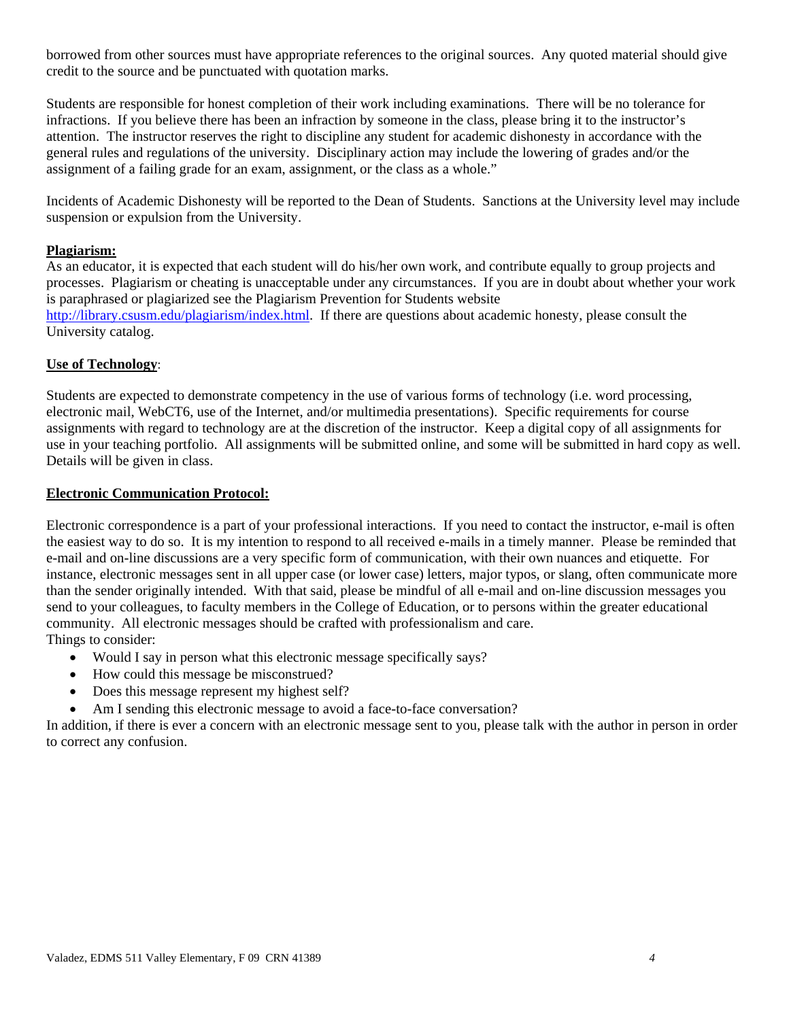borrowed from other sources must have appropriate references to the original sources. Any quoted material should give credit to the source and be punctuated with quotation marks.

Students are responsible for honest completion of their work including examinations. There will be no tolerance for infractions. If you believe there has been an infraction by someone in the class, please bring it to the instructor's attention. The instructor reserves the right to discipline any student for academic dishonesty in accordance with the general rules and regulations of the university. Disciplinary action may include the lowering of grades and/or the assignment of a failing grade for an exam, assignment, or the class as a whole."

Incidents of Academic Dishonesty will be reported to the Dean of Students. Sanctions at the University level may include suspension or expulsion from the University.

## **Plagiarism:**

As an educator, it is expected that each student will do his/her own work, and contribute equally to group projects and processes. Plagiarism or cheating is unacceptable under any circumstances. If you are in doubt about whether your work is paraphrased or plagiarized see the Plagiarism Prevention for Students website http://library.csusm.edu/plagiarism/index.html. If there are questions about academic honesty, please consult the University catalog.

# **Use of Technology**:

Students are expected to demonstrate competency in the use of various forms of technology (i.e. word processing, electronic mail, WebCT6, use of the Internet, and/or multimedia presentations). Specific requirements for course assignments with regard to technology are at the discretion of the instructor. Keep a digital copy of all assignments for use in your teaching portfolio. All assignments will be submitted online, and some will be submitted in hard copy as well. Details will be given in class.

## **Electronic Communication Protocol:**

Electronic correspondence is a part of your professional interactions. If you need to contact the instructor, e-mail is often the easiest way to do so. It is my intention to respond to all received e-mails in a timely manner. Please be reminded that e-mail and on-line discussions are a very specific form of communication, with their own nuances and etiquette. For instance, electronic messages sent in all upper case (or lower case) letters, major typos, or slang, often communicate more than the sender originally intended. With that said, please be mindful of all e-mail and on-line discussion messages you send to your colleagues, to faculty members in the College of Education, or to persons within the greater educational community. All electronic messages should be crafted with professionalism and care. Things to consider:

- Would I say in person what this electronic message specifically says?
- How could this message be misconstrued?
- Does this message represent my highest self?
- Am I sending this electronic message to avoid a face-to-face conversation?

In addition, if there is ever a concern with an electronic message sent to you, please talk with the author in person in order to correct any confusion.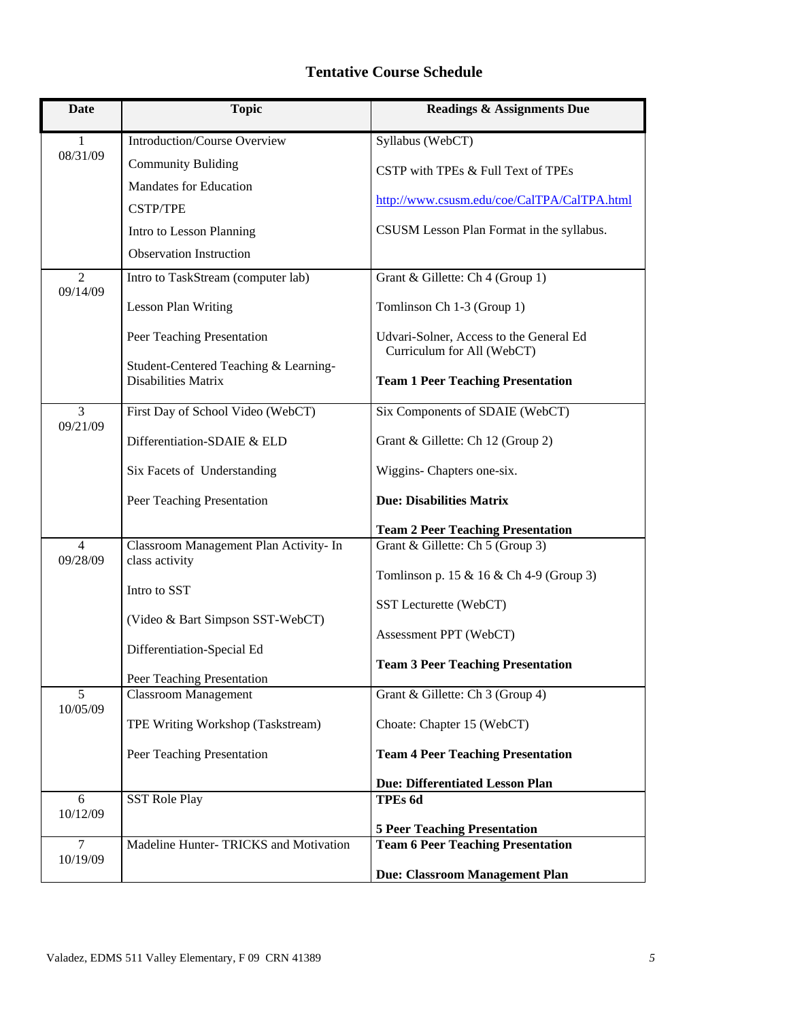# **Tentative Course Schedule**

| <b>Date</b>                | <b>Topic</b>                                                        | <b>Readings &amp; Assignments Due</b>                                 |
|----------------------------|---------------------------------------------------------------------|-----------------------------------------------------------------------|
| 1                          | <b>Introduction/Course Overview</b>                                 | Syllabus (WebCT)                                                      |
| 08/31/09                   | <b>Community Buliding</b>                                           | CSTP with TPEs & Full Text of TPEs                                    |
|                            | <b>Mandates for Education</b>                                       |                                                                       |
|                            | <b>CSTP/TPE</b>                                                     | http://www.csusm.edu/coe/CalTPA/CalTPA.html                           |
|                            | Intro to Lesson Planning                                            | CSUSM Lesson Plan Format in the syllabus.                             |
|                            | <b>Observation Instruction</b>                                      |                                                                       |
| $\overline{2}$<br>09/14/09 | Intro to TaskStream (computer lab)                                  | Grant & Gillette: Ch 4 (Group 1)                                      |
|                            | <b>Lesson Plan Writing</b>                                          | Tomlinson Ch 1-3 (Group 1)                                            |
|                            | Peer Teaching Presentation                                          | Udvari-Solner, Access to the General Ed<br>Curriculum for All (WebCT) |
|                            | Student-Centered Teaching & Learning-<br><b>Disabilities Matrix</b> | <b>Team 1 Peer Teaching Presentation</b>                              |
| 3<br>09/21/09              | First Day of School Video (WebCT)                                   | Six Components of SDAIE (WebCT)                                       |
|                            | Differentiation-SDAIE & ELD                                         | Grant & Gillette: Ch 12 (Group 2)                                     |
|                            | Six Facets of Understanding                                         | Wiggins- Chapters one-six.                                            |
|                            | Peer Teaching Presentation                                          | <b>Due: Disabilities Matrix</b>                                       |
|                            |                                                                     | <b>Team 2 Peer Teaching Presentation</b>                              |
| $\overline{4}$<br>09/28/09 | Classroom Management Plan Activity- In<br>class activity            | Grant & Gillette: Ch 5 (Group 3)                                      |
|                            | Intro to SST                                                        | Tomlinson p. 15 & 16 & Ch 4-9 (Group 3)                               |
|                            |                                                                     | SST Lecturette (WebCT)                                                |
|                            | (Video & Bart Simpson SST-WebCT)                                    | Assessment PPT (WebCT)                                                |
|                            | Differentiation-Special Ed                                          | <b>Team 3 Peer Teaching Presentation</b>                              |
|                            | Peer Teaching Presentation                                          |                                                                       |
| 5<br>10/05/09              | <b>Classroom Management</b>                                         | Grant & Gillette: Ch 3 (Group 4)                                      |
|                            | TPE Writing Workshop (Taskstream)                                   | Choate: Chapter 15 (WebCT)                                            |
|                            | Peer Teaching Presentation                                          | <b>Team 4 Peer Teaching Presentation</b>                              |
|                            |                                                                     | <b>Due: Differentiated Lesson Plan</b>                                |
| 6<br>10/12/09              | <b>SST Role Play</b>                                                | TPEs 6d                                                               |
|                            |                                                                     | <b>5 Peer Teaching Presentation</b>                                   |
| $\overline{7}$<br>10/19/09 | Madeline Hunter-TRICKS and Motivation                               | <b>Team 6 Peer Teaching Presentation</b>                              |
|                            |                                                                     | Due: Classroom Management Plan                                        |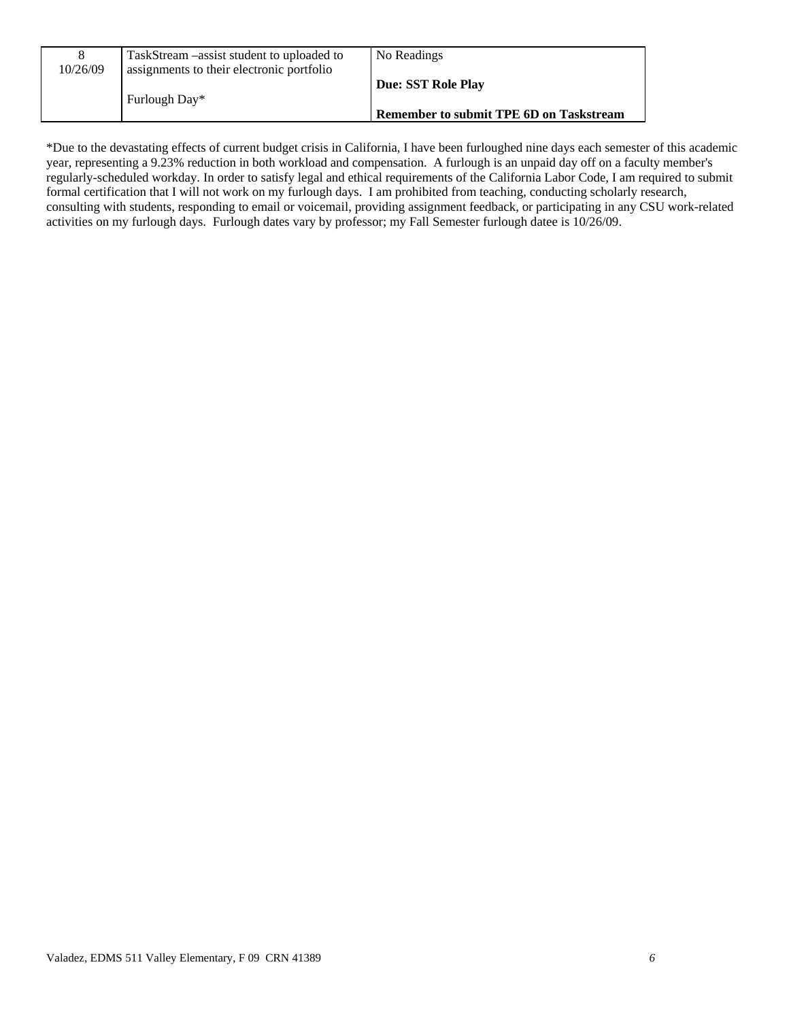| 10/26/09 | TaskStream – assist student to uploaded to<br>assignments to their electronic portfolio | No Readings                                    |
|----------|-----------------------------------------------------------------------------------------|------------------------------------------------|
|          | Furlough Day*                                                                           | <b>Due: SST Role Play</b>                      |
|          |                                                                                         | <b>Remember to submit TPE 6D on Taskstream</b> |

 regularly-scheduled workday. In order to satisfy legal and ethical requirements of the California Labor Code, I am required to submit \*Due to the devastating effects of current budget crisis in California, I have been furloughed nine days each semester of this academic year, representing a 9.23% reduction in both workload and compensation. A furlough is an unpaid day off on a faculty member's formal certification that I will not work on my furlough days. I am prohibited from teaching, conducting scholarly research, consulting with students, responding to email or voicemail, providing assignment feedback, or participating in any CSU work-related activities on my furlough days. Furlough dates vary by professor; my Fall Semester furlough datee is 10/26/09.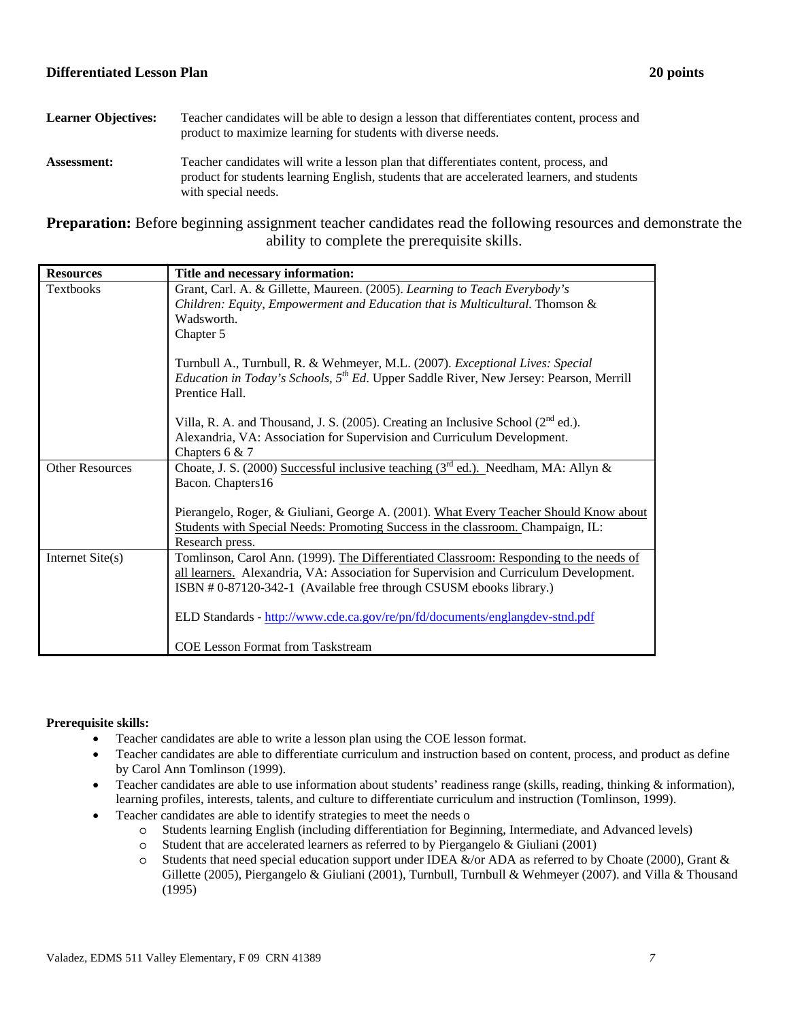## **Differentiated Lesson Plan 20 points**

| <b>Learner Objectives:</b> | Teacher candidates will be able to design a lesson that differentiates content, process and<br>product to maximize learning for students with diverse needs.                                                |
|----------------------------|-------------------------------------------------------------------------------------------------------------------------------------------------------------------------------------------------------------|
| <b>Assessment:</b>         | Teacher candidates will write a lesson plan that differentiates content, process, and<br>product for students learning English, students that are accelerated learners, and students<br>with special needs. |

**Preparation:** Before beginning assignment teacher candidates read the following resources and demonstrate the ability to complete the prerequisite skills.

| <b>Resources</b>       | Title and necessary information:                                                                                                                                                                                                                      |
|------------------------|-------------------------------------------------------------------------------------------------------------------------------------------------------------------------------------------------------------------------------------------------------|
| Textbooks              | Grant, Carl. A. & Gillette, Maureen. (2005). Learning to Teach Everybody's<br>Children: Equity, Empowerment and Education that is Multicultural. Thomson &<br>Wadsworth.<br>Chapter 5                                                                 |
|                        | Turnbull A., Turnbull, R. & Wehmeyer, M.L. (2007). Exceptional Lives: Special<br><i>Education in Today's Schools,</i> $5^{th}$ <i>Ed.</i> Upper Saddle River, New Jersey: Pearson, Merrill<br>Prentice Hall.                                          |
|                        | Villa, R. A. and Thousand, J. S. (2005). Creating an Inclusive School $(2^{nd}$ ed.).                                                                                                                                                                 |
|                        | Alexandria, VA: Association for Supervision and Curriculum Development.<br>Chapters $6 & 7$                                                                                                                                                           |
| <b>Other Resources</b> | Choate, J. S. (2000) Successful inclusive teaching $(3rd$ ed.). Needham, MA: Allyn &<br>Bacon. Chapters16                                                                                                                                             |
|                        | Pierangelo, Roger, & Giuliani, George A. (2001). What Every Teacher Should Know about<br>Students with Special Needs: Promoting Success in the classroom. Champaign, IL:<br>Research press.                                                           |
| Internet Site(s)       | Tomlinson, Carol Ann. (1999). The Differentiated Classroom: Responding to the needs of<br>all learners. Alexandria, VA: Association for Supervision and Curriculum Development.<br>ISBN #0-87120-342-1 (Available free through CSUSM ebooks library.) |
|                        | ELD Standards - http://www.cde.ca.gov/re/pn/fd/documents/englangdev-stnd.pdf                                                                                                                                                                          |
|                        | <b>COE Lesson Format from Taskstream</b>                                                                                                                                                                                                              |

## **Prerequisite skills:**

- Teacher candidates are able to write a lesson plan using the COE lesson format.
- Teacher candidates are able to differentiate curriculum and instruction based on content, process, and product as define by Carol Ann Tomlinson (1999).
- Teacher candidates are able to use information about students' readiness range (skills, reading, thinking  $\&$  information), learning profiles, interests, talents, and culture to differentiate curriculum and instruction (Tomlinson, 1999).
- Teacher candidates are able to identify strategies to meet the needs o
	- o Students learning English (including differentiation for Beginning, Intermediate, and Advanced levels)
	- $\circ$  Student that are accelerated learners as referred to by Piergangelo & Giuliani (2001)
	- $\circ$  Students that need special education support under IDEA &/or ADA as referred to by Choate (2000), Grant & Gillette (2005), Piergangelo & Giuliani (2001), Turnbull, Turnbull & Wehmeyer (2007). and Villa & Thousand (1995)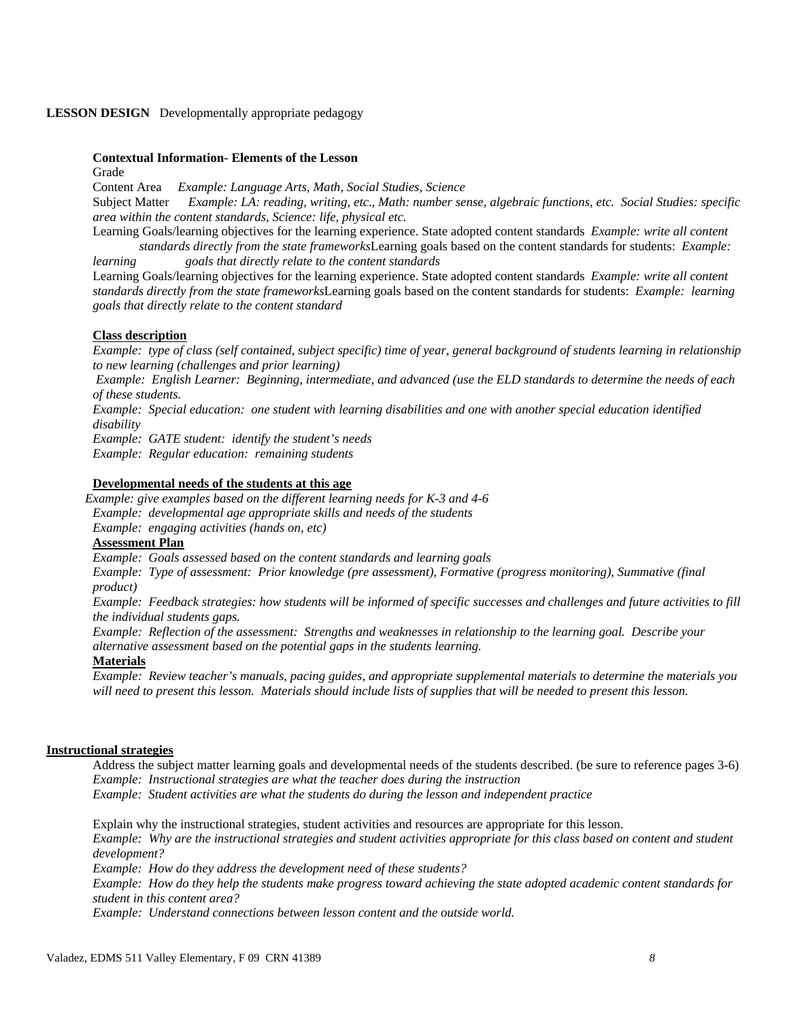#### **LESSON DESIGN** Developmentally appropriate pedagogy

## **Contextual Information- Elements of the Lesson**

Grade

 Content Area *Example: Language Arts, Math, Social Studies, Science*  **Subject Matter** Example: LA: reading, writing, etc., Math: number sense, algebraic functions, etc. Social Studies: specific *area within the content standards, Science: life, physical etc.* 

Learning Goals/learning objectives for the learning experience. State adopted content standards *Example: write all content* 

 *standards directly from the state frameworks*Learning goals based on the content standards for students: *Example: learning learning goals that directly relate to the content standards*

 *standards directly from the state frameworks*Learning goals based on the content standards for students: *Example: learning*  Learning Goals/learning objectives for the learning experience. State adopted content standards *Example: write all content goals that directly relate to the content standard* 

#### **Class description**

*Example: type of class (self contained, subject specific) time of year, general background of students learning in relationship to new learning (challenges and prior learning)*

 *Example: English Learner: Beginning, intermediate, and advanced (use the ELD standards to determine the needs of each of these students.* 

*Example: Special education: one student with learning disabilities and one with another special education identified disability* 

*Example: GATE student: identify the student's needs* 

*Example: Regular education: remaining students* 

#### **Developmental needs of the students at this age**

*Example: give examples based on the different learning needs for K-3 and 4-6 Example: developmental age appropriate skills and needs of the students Example: engaging activities (hands on, etc)*

#### **Assessment Plan**

 *Example: Goals assessed based on the content standards and learning goals* 

*Example: Type of assessment: Prior knowledge (pre assessment), Formative (progress monitoring), Summative (final product)* 

*Example: Feedback strategies: how students will be informed of specific successes and challenges and future activities to fill the individual students gaps.* 

*Example: Reflection of the assessment: Strengths and weaknesses in relationship to the learning goal. Describe your alternative assessment based on the potential gaps in the students learning.*

# **Materials**

 *Example: Review teacher's manuals, pacing guides, and appropriate supplemental materials to determine the materials you*  will need to present this lesson. Materials should include lists of supplies that will be needed to present this lesson.

#### **Instructional strategies**

 Address the subject matter learning goals and developmental needs of the students described. (be sure to reference pages 3-6)  *Example: Instructional strategies are what the teacher does during the instruction Example: Student activities are what the students do during the lesson and independent practice* 

Explain why the instructional strategies, student activities and resources are appropriate for this lesson. *Example: Why are the instructional strategies and student activities appropriate for this class based on content and student development?* 

*Example: How do they address the development need of these students?* 

 *Example: How do they help the students make progress toward achieving the state adopted academic content standards for student in this content area?*

 *Example: Understand connections between lesson content and the outside world.*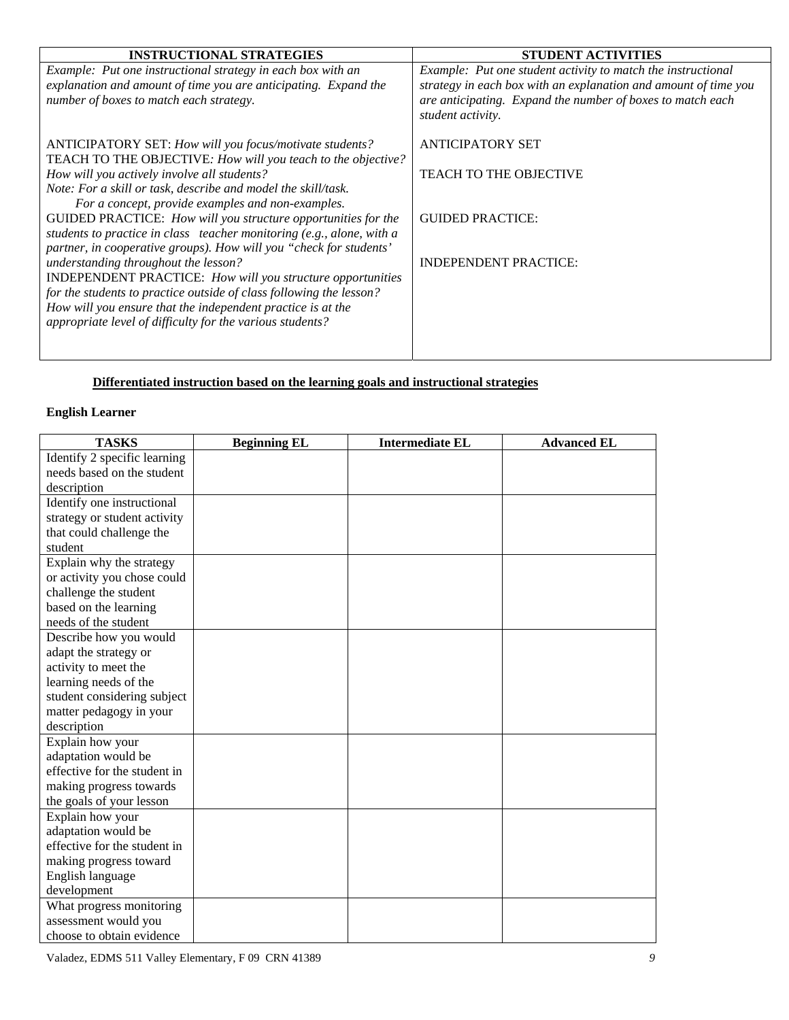| <b>INSTRUCTIONAL STRATEGIES</b>                                                                                                          | <b>STUDENT ACTIVITIES</b>                                                                                                       |
|------------------------------------------------------------------------------------------------------------------------------------------|---------------------------------------------------------------------------------------------------------------------------------|
| Example: Put one instructional strategy in each box with an<br>explanation and amount of time you are anticipating. Expand the           | Example: Put one student activity to match the instructional<br>strategy in each box with an explanation and amount of time you |
| number of boxes to match each strategy.                                                                                                  | are anticipating. Expand the number of boxes to match each<br>student activity.                                                 |
| ANTICIPATORY SET: How will you focus/motivate students?<br>TEACH TO THE OBJECTIVE: How will you teach to the objective?                  | <b>ANTICIPATORY SET</b>                                                                                                         |
| How will you actively involve all students?                                                                                              | <b>TEACH TO THE OBJECTIVE</b>                                                                                                   |
| Note: For a skill or task, describe and model the skill/task.<br>For a concept, provide examples and non-examples.                       |                                                                                                                                 |
| GUIDED PRACTICE: How will you structure opportunities for the<br>students to practice in class teacher monitoring (e.g., alone, with a   | <b>GUIDED PRACTICE:</b>                                                                                                         |
| partner, in cooperative groups). How will you "check for students'<br>understanding throughout the lesson?                               | <b>INDEPENDENT PRACTICE:</b>                                                                                                    |
| <b>INDEPENDENT PRACTICE:</b> How will you structure opportunities<br>for the students to practice outside of class following the lesson? |                                                                                                                                 |
| How will you ensure that the independent practice is at the<br>appropriate level of difficulty for the various students?                 |                                                                                                                                 |
|                                                                                                                                          |                                                                                                                                 |

# **Differentiated instruction based on the learning goals and instructional strategies**

# **English Learner**

| <b>TASKS</b>                 | <b>Beginning EL</b> | <b>Intermediate EL</b> | <b>Advanced EL</b> |
|------------------------------|---------------------|------------------------|--------------------|
| Identify 2 specific learning |                     |                        |                    |
| needs based on the student   |                     |                        |                    |
| description                  |                     |                        |                    |
| Identify one instructional   |                     |                        |                    |
| strategy or student activity |                     |                        |                    |
| that could challenge the     |                     |                        |                    |
| student                      |                     |                        |                    |
| Explain why the strategy     |                     |                        |                    |
| or activity you chose could  |                     |                        |                    |
| challenge the student        |                     |                        |                    |
| based on the learning        |                     |                        |                    |
| needs of the student         |                     |                        |                    |
| Describe how you would       |                     |                        |                    |
| adapt the strategy or        |                     |                        |                    |
| activity to meet the         |                     |                        |                    |
| learning needs of the        |                     |                        |                    |
| student considering subject  |                     |                        |                    |
| matter pedagogy in your      |                     |                        |                    |
| description                  |                     |                        |                    |
| Explain how your             |                     |                        |                    |
| adaptation would be          |                     |                        |                    |
| effective for the student in |                     |                        |                    |
| making progress towards      |                     |                        |                    |
| the goals of your lesson     |                     |                        |                    |
| Explain how your             |                     |                        |                    |
| adaptation would be          |                     |                        |                    |
| effective for the student in |                     |                        |                    |
| making progress toward       |                     |                        |                    |
| English language             |                     |                        |                    |
| development                  |                     |                        |                    |
| What progress monitoring     |                     |                        |                    |
| assessment would you         |                     |                        |                    |
| choose to obtain evidence    |                     |                        |                    |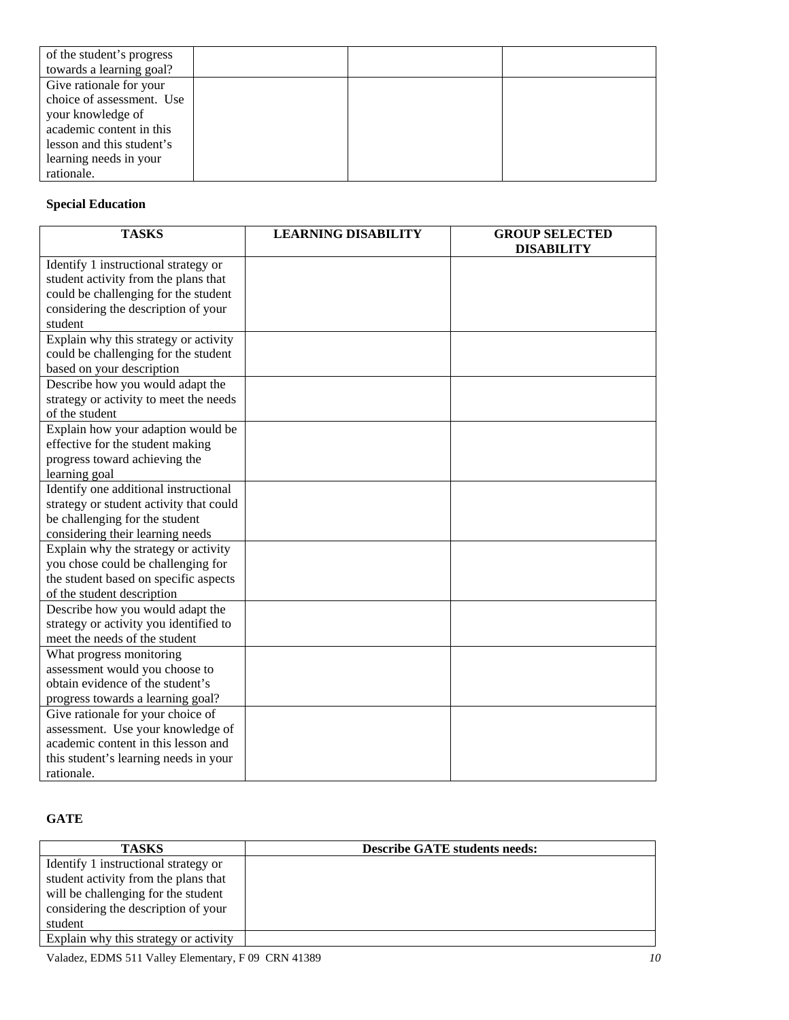| of the student's progress |  |  |
|---------------------------|--|--|
| towards a learning goal?  |  |  |
| Give rationale for your   |  |  |
| choice of assessment. Use |  |  |
| your knowledge of         |  |  |
| academic content in this  |  |  |
| lesson and this student's |  |  |
| learning needs in your    |  |  |
| rationale.                |  |  |

# **Special Education**

| <b>TASKS</b>                            | <b>LEARNING DISABILITY</b> | <b>GROUP SELECTED</b> |
|-----------------------------------------|----------------------------|-----------------------|
|                                         |                            | <b>DISABILITY</b>     |
| Identify 1 instructional strategy or    |                            |                       |
| student activity from the plans that    |                            |                       |
| could be challenging for the student    |                            |                       |
| considering the description of your     |                            |                       |
| student                                 |                            |                       |
| Explain why this strategy or activity   |                            |                       |
| could be challenging for the student    |                            |                       |
| based on your description               |                            |                       |
| Describe how you would adapt the        |                            |                       |
| strategy or activity to meet the needs  |                            |                       |
| of the student                          |                            |                       |
| Explain how your adaption would be      |                            |                       |
| effective for the student making        |                            |                       |
| progress toward achieving the           |                            |                       |
| learning goal                           |                            |                       |
| Identify one additional instructional   |                            |                       |
| strategy or student activity that could |                            |                       |
| be challenging for the student          |                            |                       |
| considering their learning needs        |                            |                       |
| Explain why the strategy or activity    |                            |                       |
| you chose could be challenging for      |                            |                       |
| the student based on specific aspects   |                            |                       |
| of the student description              |                            |                       |
| Describe how you would adapt the        |                            |                       |
| strategy or activity you identified to  |                            |                       |
| meet the needs of the student           |                            |                       |
| What progress monitoring                |                            |                       |
| assessment would you choose to          |                            |                       |
| obtain evidence of the student's        |                            |                       |
| progress towards a learning goal?       |                            |                       |
| Give rationale for your choice of       |                            |                       |
| assessment. Use your knowledge of       |                            |                       |
| academic content in this lesson and     |                            |                       |
| this student's learning needs in your   |                            |                       |
| rationale.                              |                            |                       |

# **GATE**

| <b>TASKS</b>                          | <b>Describe GATE students needs:</b> |
|---------------------------------------|--------------------------------------|
| Identify 1 instructional strategy or  |                                      |
| student activity from the plans that  |                                      |
| will be challenging for the student   |                                      |
| considering the description of your   |                                      |
| student                               |                                      |
| Explain why this strategy or activity |                                      |

Valadez, EDMS 511 Valley Elementary, F 09 CRN 41389 *10*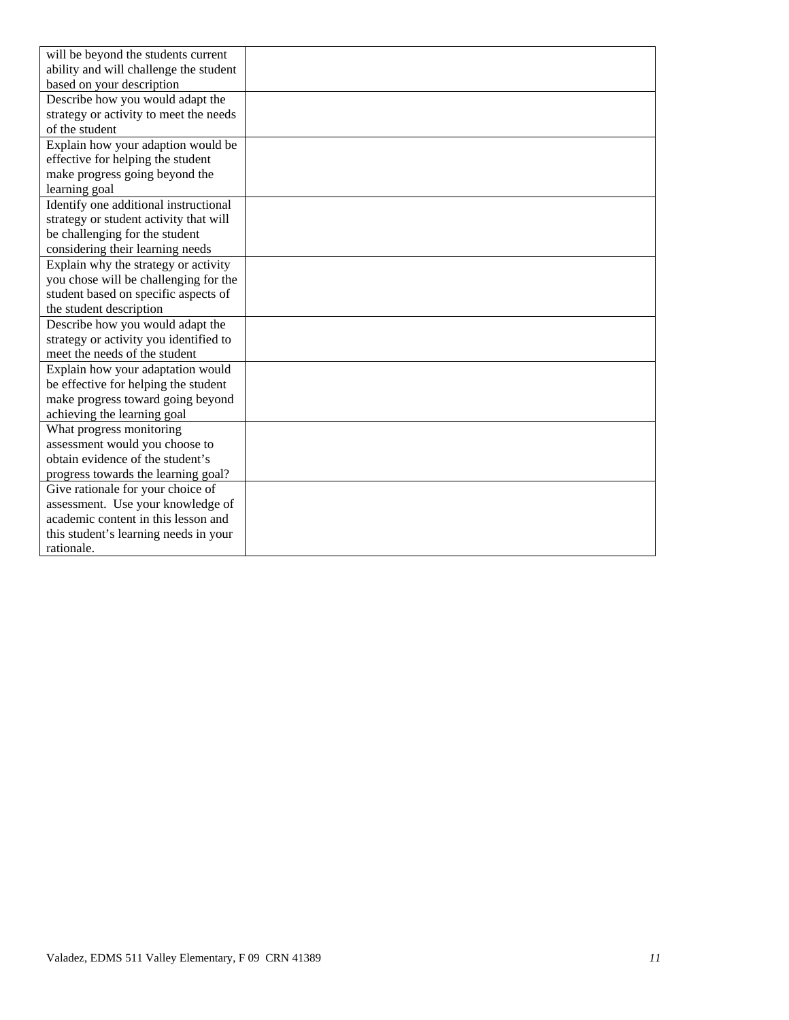| will be beyond the students current    |  |
|----------------------------------------|--|
| ability and will challenge the student |  |
| based on your description              |  |
| Describe how you would adapt the       |  |
| strategy or activity to meet the needs |  |
| of the student                         |  |
| Explain how your adaption would be     |  |
| effective for helping the student      |  |
| make progress going beyond the         |  |
| learning goal                          |  |
| Identify one additional instructional  |  |
| strategy or student activity that will |  |
| be challenging for the student         |  |
| considering their learning needs       |  |
| Explain why the strategy or activity   |  |
| you chose will be challenging for the  |  |
| student based on specific aspects of   |  |
| the student description                |  |
| Describe how you would adapt the       |  |
| strategy or activity you identified to |  |
| meet the needs of the student          |  |
| Explain how your adaptation would      |  |
| be effective for helping the student   |  |
| make progress toward going beyond      |  |
| achieving the learning goal            |  |
| What progress monitoring               |  |
| assessment would you choose to         |  |
| obtain evidence of the student's       |  |
| progress towards the learning goal?    |  |
| Give rationale for your choice of      |  |
| assessment. Use your knowledge of      |  |
| academic content in this lesson and    |  |
| this student's learning needs in your  |  |
| rationale.                             |  |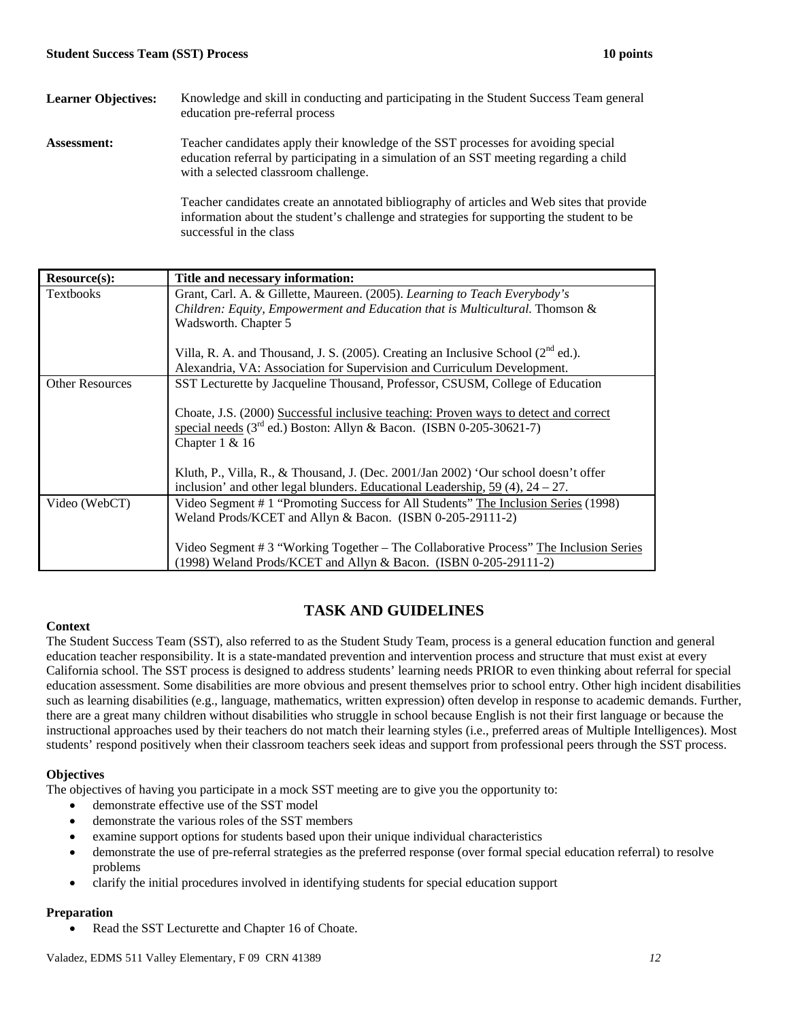| <b>Learner Objectives:</b> | Knowledge and skill in conducting and participating in the Student Success Team general<br>education pre-referral process                                                                                             |
|----------------------------|-----------------------------------------------------------------------------------------------------------------------------------------------------------------------------------------------------------------------|
| <b>Assessment:</b>         | Teacher candidates apply their knowledge of the SST processes for avoiding special<br>education referral by participating in a simulation of an SST meeting regarding a child<br>with a selected classroom challenge. |
|                            | Teacher candidates create an annotated bibliography of articles and Web sites that provide                                                                                                                            |

information about the student's challenge and strategies for supporting the student to be successful in the class

| Resource(s):           | Title and necessary information:                                                                                                                                        |
|------------------------|-------------------------------------------------------------------------------------------------------------------------------------------------------------------------|
| <b>Textbooks</b>       | Grant, Carl. A. & Gillette, Maureen. (2005). Learning to Teach Everybody's                                                                                              |
|                        | Children: Equity, Empowerment and Education that is Multicultural. Thomson &                                                                                            |
|                        | Wadsworth. Chapter 5                                                                                                                                                    |
|                        | Villa, R. A. and Thousand, J. S. (2005). Creating an Inclusive School $(2^{nd}$ ed.).                                                                                   |
|                        | Alexandria, VA: Association for Supervision and Curriculum Development.                                                                                                 |
| <b>Other Resources</b> | SST Lecturette by Jacqueline Thousand, Professor, CSUSM, College of Education                                                                                           |
|                        | Choate, J.S. (2000) Successful inclusive teaching: Proven ways to detect and correct                                                                                    |
|                        | special needs (3 <sup>rd</sup> ed.) Boston: Allyn & Bacon. (ISBN 0-205-30621-7)<br>Chapter $1 & 16$                                                                     |
|                        | Kluth, P., Villa, R., & Thousand, J. (Dec. 2001/Jan 2002) 'Our school doesn't offer<br>inclusion' and other legal blunders. Educational Leadership, $59(4)$ , $24-27$ . |
| Video (WebCT)          | Video Segment # 1 "Promoting Success for All Students" The Inclusion Series (1998)                                                                                      |
|                        | Weland Prods/KCET and Allyn & Bacon. (ISBN 0-205-29111-2)                                                                                                               |
|                        | Video Segment # 3 "Working Together – The Collaborative Process" The Inclusion Series<br>(1998) Weland Prods/KCET and Allyn & Bacon. (ISBN 0-205-29111-2)               |

# **Context**

# education teacher responsibility. It is a state-mandated prevention and intervention process and structure that must exist at every The Student Success Team (SST), also referred to as the Student Study Team, process is a general education function and general California school. The SST process is designed to address students' learning needs PRIOR to even thinking about referral for special education assessment. Some disabilities are more obvious and present themselves prior to school entry. Other high incident disabilities such as learning disabilities (e.g., language, mathematics, written expression) often develop in response to academic demands. Further, there are a great many children without disabilities who struggle in school because English is not their first language or because the

**TASK AND GUIDELINES**

instructional approaches used by their teachers do not match their learning styles (i.e., preferred areas of Multiple Intelligences). Most students' respond positively when their classroom teachers seek ideas and support from professional peers through the SST process.

## **Objectives**

The objectives of having you participate in a mock SST meeting are to give you the opportunity to:

- demonstrate effective use of the SST model
- demonstrate the various roles of the SST members
- examine support options for students based upon their unique individual characteristics
- problems demonstrate the use of pre-referral strategies as the preferred response (over formal special education referral) to resolve
- clarify the initial procedures involved in identifying students for special education support

## **Preparation**

Read the SST Lecturette and Chapter 16 of Choate.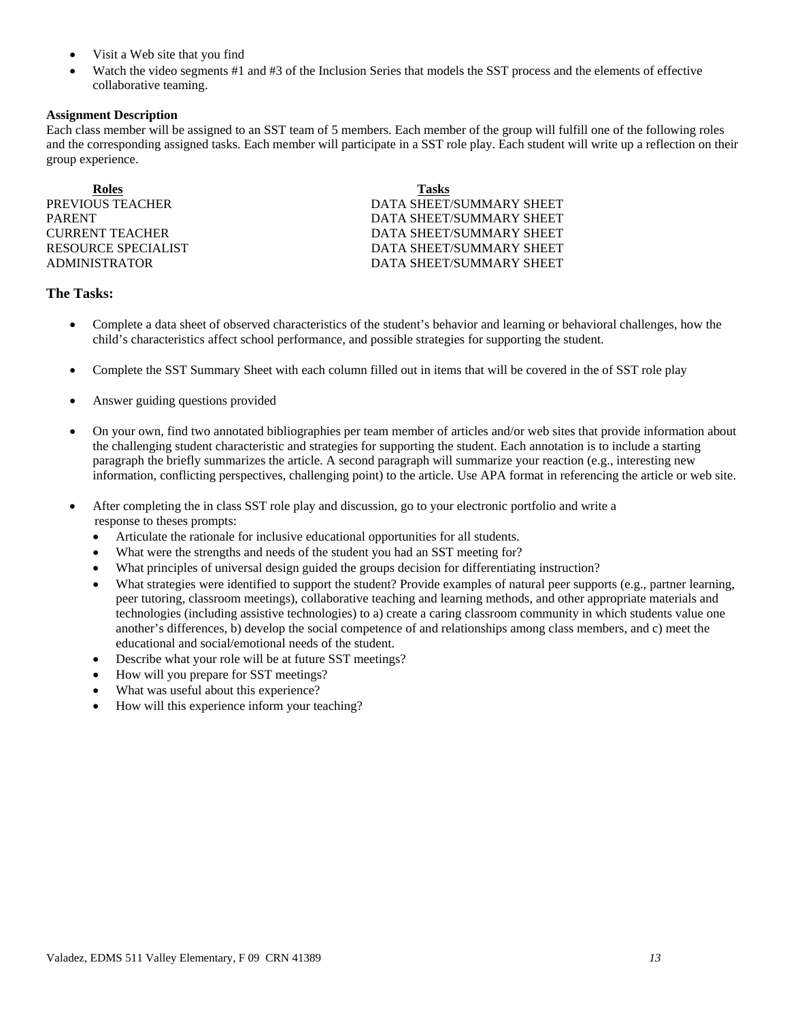- Visit a Web site that you find
- Watch the video segments #1 and #3 of the Inclusion Series that models the SST process and the elements of effective collaborative teaming.

## **Assignment Description**

Each class member will be assigned to an SST team of 5 members. Each member of the group will fulfill one of the following roles and the corresponding assigned tasks. Each member will participate in a SST role play. Each student will write up a reflection on their group experience.

| <b>Roles</b>        | <b>Tasks</b>             |
|---------------------|--------------------------|
| PREVIOUS TEACHER    | DATA SHEET/SUMMARY SHEET |
| PARENT              | DATA SHEET/SUMMARY SHEET |
| CURRENT TEACHER     | DATA SHEET/SUMMARY SHEET |
| RESOURCE SPECIALIST | DATA SHEET/SUMMARY SHEET |
| ADMINISTRATOR       | DATA SHEET/SUMMARY SHEET |
|                     |                          |

## **The Tasks:**

- Complete a data sheet of observed characteristics of the student's behavior and learning or behavioral challenges, how the child's characteristics affect school performance, and possible strategies for supporting the student.
- Complete the SST Summary Sheet with each column filled out in items that will be covered in the of SST role play
- Answer guiding questions provided
- • On your own, find two annotated bibliographies per team member of articles and/or web sites that provide information about the challenging student characteristic and strategies for supporting the student. Each annotation is to include a starting paragraph the briefly summarizes the article. A second paragraph will summarize your reaction (e.g., interesting new information, conflicting perspectives, challenging point) to the article. Use APA format in referencing the article or web site.
- After completing the in class SST role play and discussion, go to your electronic portfolio and write a response to theses prompts:
	- Articulate the rationale for inclusive educational opportunities for all students.
	- What were the strengths and needs of the student you had an SST meeting for?
	- What principles of universal design guided the groups decision for differentiating instruction?
	- What strategies were identified to support the student? Provide examples of natural peer supports (e.g., partner learning, peer tutoring, classroom meetings), collaborative teaching and learning methods, and other appropriate materials and technologies (including assistive technologies) to a) create a caring classroom community in which students value one another's differences, b) develop the social competence of and relationships among class members, and c) meet the educational and social/emotional needs of the student.
	- Describe what your role will be at future SST meetings?
	- How will you prepare for SST meetings?
	- What was useful about this experience?
	- How will this experience inform your teaching?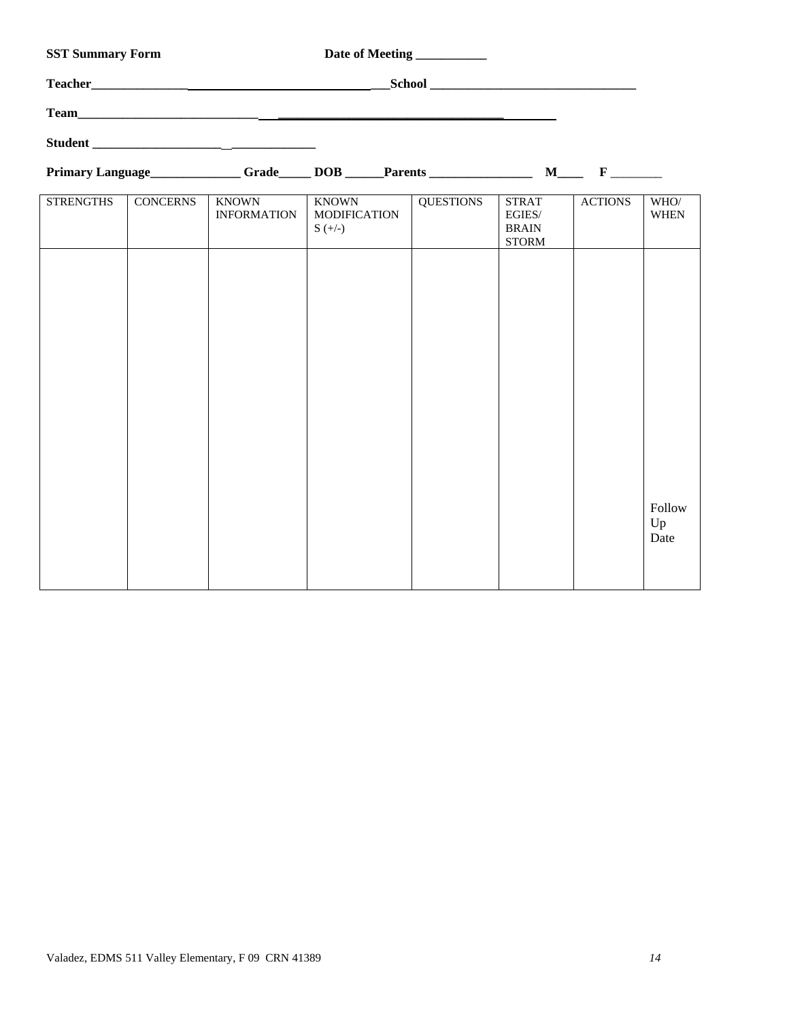| <b>SST Summary Form</b> |                 |                                    | Date of Meeting __________                                                                                                                                                                                                          |                  |                                                        |                |                      |
|-------------------------|-----------------|------------------------------------|-------------------------------------------------------------------------------------------------------------------------------------------------------------------------------------------------------------------------------------|------------------|--------------------------------------------------------|----------------|----------------------|
|                         |                 |                                    |                                                                                                                                                                                                                                     |                  |                                                        |                |                      |
|                         |                 |                                    |                                                                                                                                                                                                                                     |                  |                                                        |                |                      |
|                         |                 | Student                            |                                                                                                                                                                                                                                     |                  |                                                        |                |                      |
|                         |                 |                                    | Primary Language <u>Carl Grade Contract DOB</u> Contract Parents Contract M Contract Parents Contract M Contract Parents Contract M Contract Parents Contract M Contract Parents Contract M Contract Parents Contract M Contract Pa |                  |                                                        |                |                      |
| <b>STRENGTHS</b>        | <b>CONCERNS</b> | <b>KNOWN</b><br><b>INFORMATION</b> | <b>KNOWN</b><br><b>MODIFICATION</b><br>$S (+/-)$                                                                                                                                                                                    | <b>QUESTIONS</b> | <b>STRAT</b><br>EGIES/<br><b>BRAIN</b><br><b>STORM</b> | <b>ACTIONS</b> | WHO/<br><b>WHEN</b>  |
|                         |                 |                                    |                                                                                                                                                                                                                                     |                  |                                                        |                |                      |
|                         |                 |                                    |                                                                                                                                                                                                                                     |                  |                                                        |                |                      |
|                         |                 |                                    |                                                                                                                                                                                                                                     |                  |                                                        |                |                      |
|                         |                 |                                    |                                                                                                                                                                                                                                     |                  |                                                        |                |                      |
|                         |                 |                                    |                                                                                                                                                                                                                                     |                  |                                                        |                |                      |
|                         |                 |                                    |                                                                                                                                                                                                                                     |                  |                                                        |                |                      |
|                         |                 |                                    |                                                                                                                                                                                                                                     |                  |                                                        |                |                      |
|                         |                 |                                    |                                                                                                                                                                                                                                     |                  |                                                        |                | Follow<br>Up<br>Date |
|                         |                 |                                    |                                                                                                                                                                                                                                     |                  |                                                        |                |                      |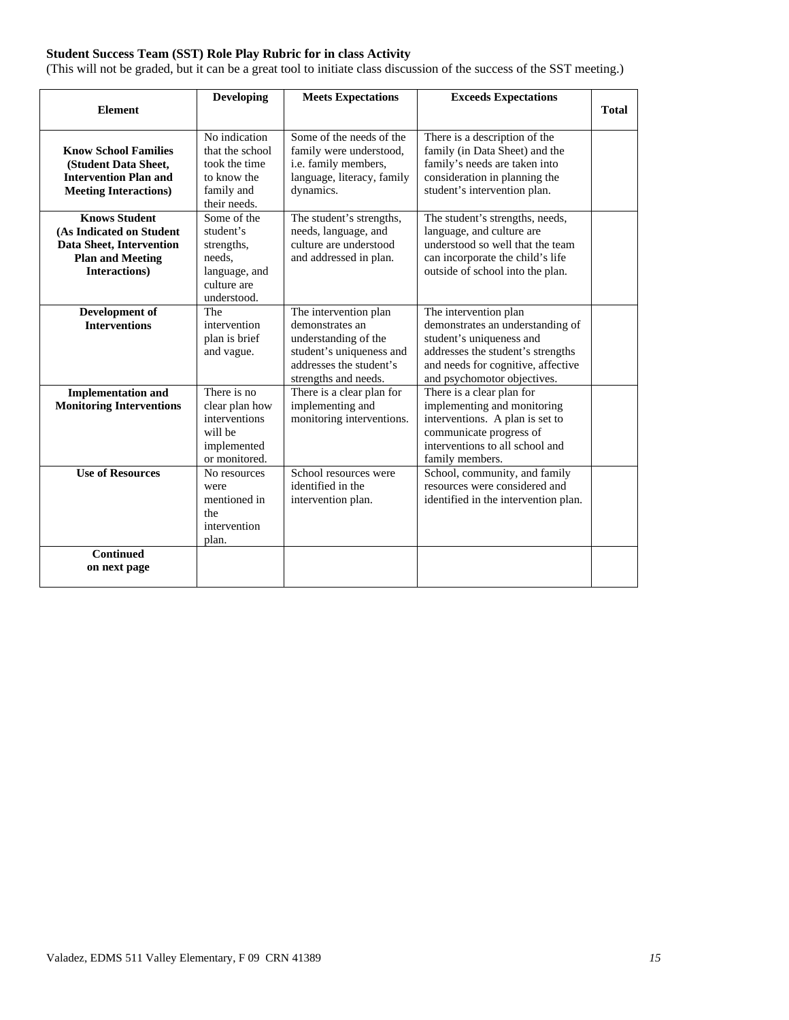# **Student Success Team (SST) Role Play Rubric for in class Activity**

(This will not be graded, but it can be a great tool to initiate class discussion of the success of the SST meeting.)

|                                                                                                                          | <b>Developing</b>                                                                               | <b>Meets Expectations</b>                                                                                                                       | <b>Exceeds Expectations</b>                                                                                                                                                                     |              |
|--------------------------------------------------------------------------------------------------------------------------|-------------------------------------------------------------------------------------------------|-------------------------------------------------------------------------------------------------------------------------------------------------|-------------------------------------------------------------------------------------------------------------------------------------------------------------------------------------------------|--------------|
| <b>Element</b>                                                                                                           |                                                                                                 |                                                                                                                                                 |                                                                                                                                                                                                 | <b>Total</b> |
| <b>Know School Families</b><br>(Student Data Sheet,<br><b>Intervention Plan and</b><br><b>Meeting Interactions)</b>      | No indication<br>that the school<br>took the time<br>to know the<br>family and<br>their needs.  | Some of the needs of the<br>family were understood,<br>i.e. family members,<br>language, literacy, family<br>dynamics.                          | There is a description of the<br>family (in Data Sheet) and the<br>family's needs are taken into<br>consideration in planning the<br>student's intervention plan.                               |              |
| <b>Knows Student</b><br>(As Indicated on Student<br>Data Sheet, Intervention<br><b>Plan and Meeting</b><br>Interactions) | Some of the<br>student's<br>strengths,<br>needs.<br>language, and<br>culture are<br>understood. | The student's strengths,<br>needs, language, and<br>culture are understood<br>and addressed in plan.                                            | The student's strengths, needs,<br>language, and culture are<br>understood so well that the team<br>can incorporate the child's life<br>outside of school into the plan.                        |              |
| Development of<br><b>Interventions</b>                                                                                   | The<br>intervention<br>plan is brief<br>and vague.                                              | The intervention plan<br>demonstrates an<br>understanding of the<br>student's uniqueness and<br>addresses the student's<br>strengths and needs. | The intervention plan<br>demonstrates an understanding of<br>student's uniqueness and<br>addresses the student's strengths<br>and needs for cognitive, affective<br>and psychomotor objectives. |              |
| <b>Implementation and</b><br><b>Monitoring Interventions</b>                                                             | There is no<br>clear plan how<br>interventions<br>will be<br>implemented<br>or monitored.       | There is a clear plan for<br>implementing and<br>monitoring interventions.                                                                      | There is a clear plan for<br>implementing and monitoring<br>interventions. A plan is set to<br>communicate progress of<br>interventions to all school and<br>family members.                    |              |
| <b>Use of Resources</b>                                                                                                  | No resources<br>were<br>mentioned in<br>the<br>intervention<br>plan.                            | School resources were<br>identified in the<br>intervention plan.                                                                                | School, community, and family<br>resources were considered and<br>identified in the intervention plan.                                                                                          |              |
| <b>Continued</b><br>on next page                                                                                         |                                                                                                 |                                                                                                                                                 |                                                                                                                                                                                                 |              |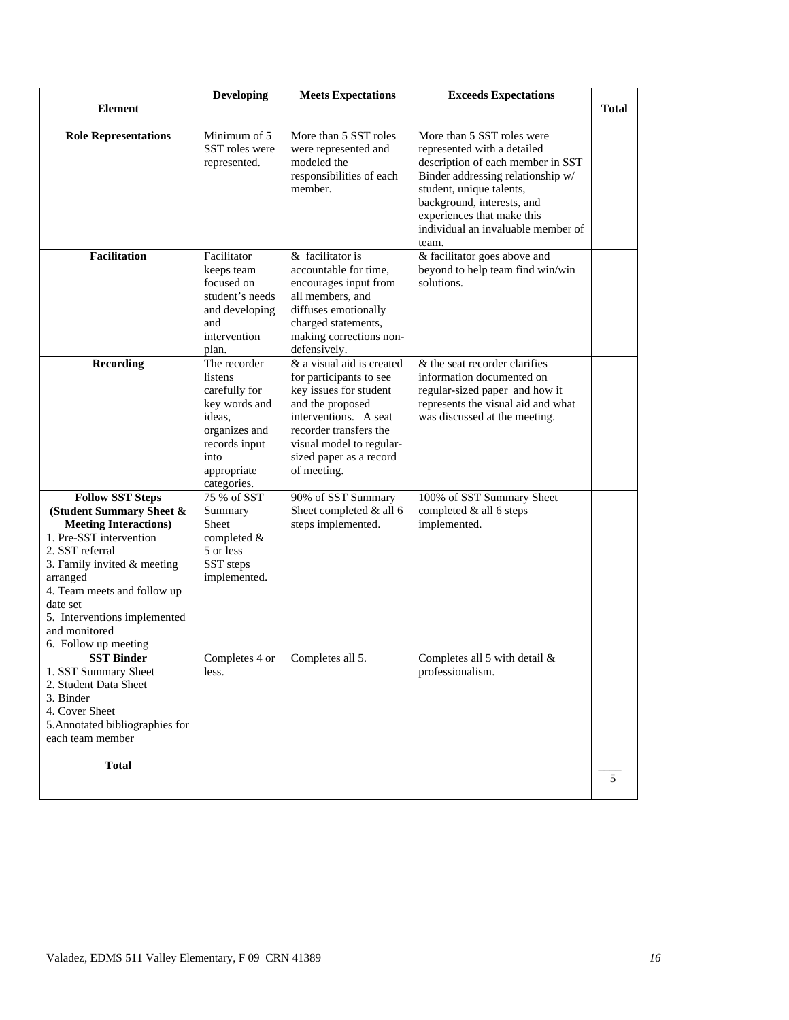|                                                                                                                                                                                                                                                                                                    | <b>Developing</b>                                                                                                                           | <b>Meets Expectations</b>                                                                                                                                                                                                   | <b>Exceeds Expectations</b>                                                                                                                                                                                                                                                |              |
|----------------------------------------------------------------------------------------------------------------------------------------------------------------------------------------------------------------------------------------------------------------------------------------------------|---------------------------------------------------------------------------------------------------------------------------------------------|-----------------------------------------------------------------------------------------------------------------------------------------------------------------------------------------------------------------------------|----------------------------------------------------------------------------------------------------------------------------------------------------------------------------------------------------------------------------------------------------------------------------|--------------|
| <b>Element</b>                                                                                                                                                                                                                                                                                     |                                                                                                                                             |                                                                                                                                                                                                                             |                                                                                                                                                                                                                                                                            | <b>Total</b> |
| <b>Role Representations</b>                                                                                                                                                                                                                                                                        | Minimum of $5$<br>SST roles were<br>represented.                                                                                            | More than 5 SST roles<br>were represented and<br>modeled the<br>responsibilities of each<br>member.                                                                                                                         | More than 5 SST roles were<br>represented with a detailed<br>description of each member in SST<br>Binder addressing relationship w/<br>student, unique talents,<br>background, interests, and<br>experiences that make this<br>individual an invaluable member of<br>team. |              |
| <b>Facilitation</b>                                                                                                                                                                                                                                                                                | Facilitator<br>keeps team<br>focused on<br>student's needs<br>and developing<br>and<br>intervention<br>plan.                                | & facilitator is<br>accountable for time,<br>encourages input from<br>all members, and<br>diffuses emotionally<br>charged statements,<br>making corrections non-<br>defensively.                                            | & facilitator goes above and<br>beyond to help team find win/win<br>solutions.                                                                                                                                                                                             |              |
| <b>Recording</b>                                                                                                                                                                                                                                                                                   | The recorder<br>listens<br>carefully for<br>key words and<br>ideas,<br>organizes and<br>records input<br>into<br>appropriate<br>categories. | & a visual aid is created<br>for participants to see<br>key issues for student<br>and the proposed<br>interventions. A seat<br>recorder transfers the<br>visual model to regular-<br>sized paper as a record<br>of meeting. | & the seat recorder clarifies<br>information documented on<br>regular-sized paper and how it<br>represents the visual aid and what<br>was discussed at the meeting.                                                                                                        |              |
| <b>Follow SST Steps</b><br>(Student Summary Sheet &<br><b>Meeting Interactions)</b><br>1. Pre-SST intervention<br>2. SST referral<br>3. Family invited $&$ meeting<br>arranged<br>4. Team meets and follow up<br>date set<br>5. Interventions implemented<br>and monitored<br>6. Follow up meeting | 75 % of SST<br>Summary<br>Sheet<br>completed $&$<br>5 or less<br>SST steps<br>implemented.                                                  | 90% of SST Summary<br>Sheet completed & all 6<br>steps implemented.                                                                                                                                                         | 100% of SST Summary Sheet<br>completed & all 6 steps<br>implemented.                                                                                                                                                                                                       |              |
| <b>SST Binder</b><br>1. SST Summary Sheet<br>2. Student Data Sheet<br>3. Binder<br>4. Cover Sheet<br>5. Annotated bibliographies for<br>each team member                                                                                                                                           | Completes 4 or<br>less.                                                                                                                     | Completes all 5.                                                                                                                                                                                                            | Completes all 5 with detail &<br>professionalism.                                                                                                                                                                                                                          |              |
| <b>Total</b>                                                                                                                                                                                                                                                                                       |                                                                                                                                             |                                                                                                                                                                                                                             |                                                                                                                                                                                                                                                                            | 5            |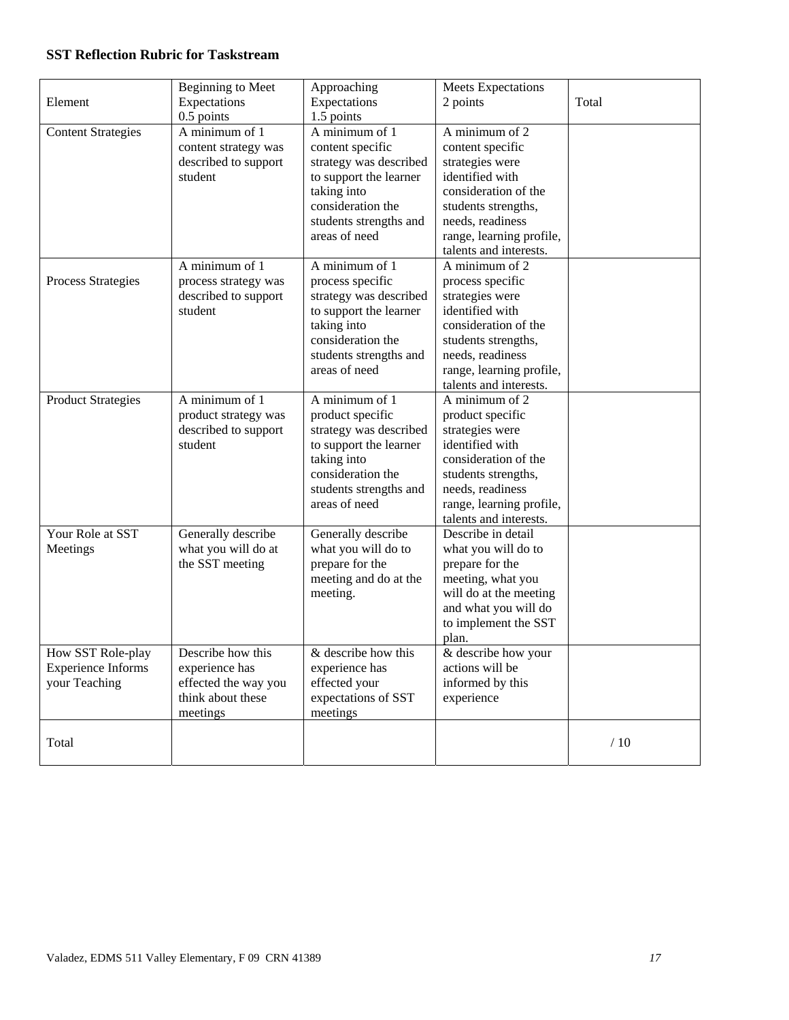# **SST Reflection Rubric for Taskstream**

|                           | <b>Beginning to Meet</b> | Approaching            | <b>Meets Expectations</b> |       |
|---------------------------|--------------------------|------------------------|---------------------------|-------|
| Element                   | Expectations             | Expectations           | 2 points                  | Total |
|                           | $0.5$ points             | 1.5 points             |                           |       |
| <b>Content Strategies</b> | A minimum of 1           | A minimum of 1         | A minimum of 2            |       |
|                           | content strategy was     | content specific       | content specific          |       |
|                           | described to support     | strategy was described | strategies were           |       |
|                           | student                  | to support the learner | identified with           |       |
|                           |                          | taking into            | consideration of the      |       |
|                           |                          | consideration the      | students strengths,       |       |
|                           |                          | students strengths and | needs, readiness          |       |
|                           |                          | areas of need          | range, learning profile,  |       |
|                           |                          |                        | talents and interests.    |       |
|                           | A minimum of 1           | A minimum of 1         | A minimum of 2            |       |
| Process Strategies        | process strategy was     | process specific       | process specific          |       |
|                           | described to support     | strategy was described | strategies were           |       |
|                           | student                  | to support the learner | identified with           |       |
|                           |                          | taking into            | consideration of the      |       |
|                           |                          | consideration the      | students strengths,       |       |
|                           |                          | students strengths and | needs, readiness          |       |
|                           |                          | areas of need          | range, learning profile,  |       |
|                           |                          |                        | talents and interests.    |       |
| <b>Product Strategies</b> | A minimum of 1           | A minimum of 1         | A minimum of 2            |       |
|                           | product strategy was     | product specific       | product specific          |       |
|                           | described to support     | strategy was described | strategies were           |       |
|                           | student                  | to support the learner | identified with           |       |
|                           |                          | taking into            | consideration of the      |       |
|                           |                          | consideration the      | students strengths,       |       |
|                           |                          | students strengths and | needs, readiness          |       |
|                           |                          | areas of need          | range, learning profile,  |       |
|                           |                          |                        | talents and interests.    |       |
| Your Role at SST          | Generally describe       | Generally describe     | Describe in detail        |       |
| Meetings                  | what you will do at      | what you will do to    | what you will do to       |       |
|                           | the SST meeting          | prepare for the        | prepare for the           |       |
|                           |                          | meeting and do at the  | meeting, what you         |       |
|                           |                          | meeting.               | will do at the meeting    |       |
|                           |                          |                        | and what you will do      |       |
|                           |                          |                        | to implement the SST      |       |
|                           |                          |                        | plan.                     |       |
| How SST Role-play         | Describe how this        | & describe how this    | & describe how your       |       |
| <b>Experience Informs</b> | experience has           | experience has         | actions will be           |       |
| your Teaching             | effected the way you     | effected your          | informed by this          |       |
|                           | think about these        | expectations of SST    | experience                |       |
|                           | meetings                 | meetings               |                           |       |
|                           |                          |                        |                           |       |
| Total                     |                          |                        |                           | /10   |
|                           |                          |                        |                           |       |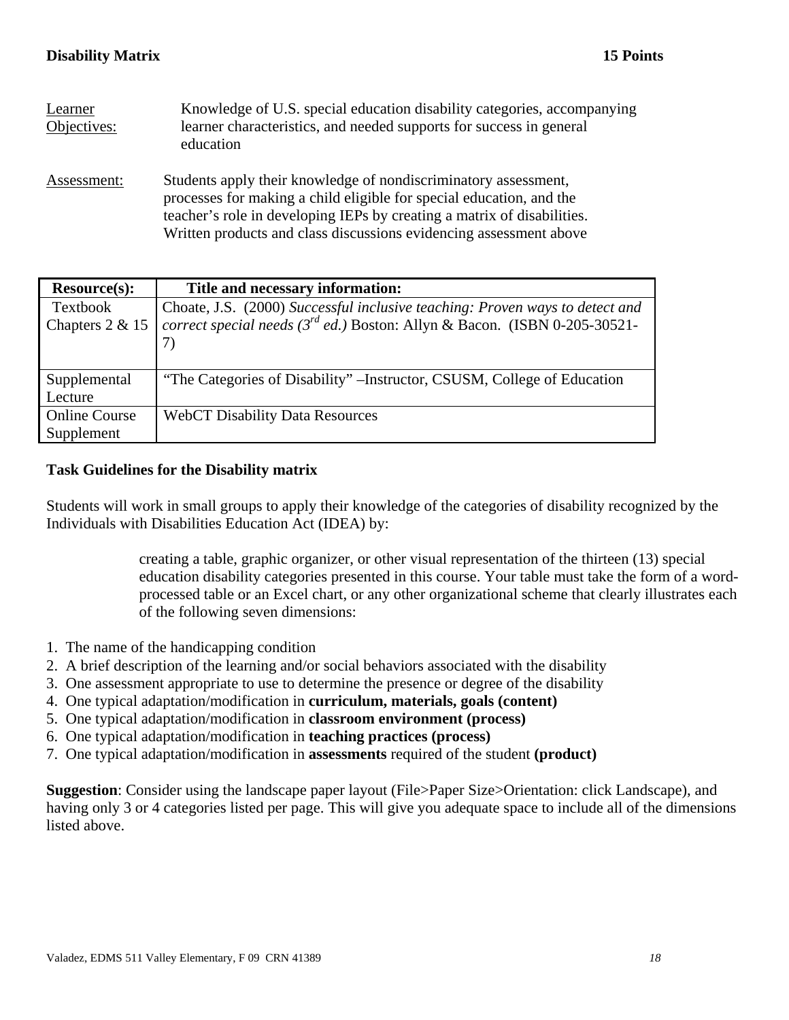| Learner<br>Objectives: | Knowledge of U.S. special education disability categories, accompanying<br>learner characteristics, and needed supports for success in general<br>education                                                                                                                              |
|------------------------|------------------------------------------------------------------------------------------------------------------------------------------------------------------------------------------------------------------------------------------------------------------------------------------|
| Assessment:            | Students apply their knowledge of nondiscriminatory assessment,<br>processes for making a child eligible for special education, and the<br>teacher's role in developing IEPs by creating a matrix of disabilities.<br>Written products and class discussions evidencing assessment above |

| <b>Resource(s):</b>  | Title and necessary information:                                                |
|----------------------|---------------------------------------------------------------------------------|
| Textbook             | Choate, J.S. (2000) Successful inclusive teaching: Proven ways to detect and    |
| Chapters 2 & 15      | correct special needs ( $3^{rd}$ ed.) Boston: Allyn & Bacon. (ISBN 0-205-30521- |
|                      |                                                                                 |
|                      |                                                                                 |
| Supplemental         | "The Categories of Disability" – Instructor, CSUSM, College of Education        |
| Lecture              |                                                                                 |
| <b>Online Course</b> | <b>WebCT Disability Data Resources</b>                                          |
| Supplement           |                                                                                 |

# **Task Guidelines for the Disability matrix**

Students will work in small groups to apply their knowledge of the categories of disability recognized by the Individuals with Disabilities Education Act (IDEA) by:

> creating a table, graphic organizer, or other visual representation of the thirteen (13) special education disability categories presented in this course. Your table must take the form of a wordprocessed table or an Excel chart, or any other organizational scheme that clearly illustrates each of the following seven dimensions:

- 1. The name of the handicapping condition
- 2. A brief description of the learning and/or social behaviors associated with the disability
- 3. One assessment appropriate to use to determine the presence or degree of the disability
- 4. One typical adaptation/modification in **curriculum, materials, goals (content)**
- 5. One typical adaptation/modification in **classroom environment (process)**
- 6. One typical adaptation/modification in **teaching practices (process)**
- 7. One typical adaptation/modification in **assessments** required of the student **(product)**

**Suggestion**: Consider using the landscape paper layout (File>Paper Size>Orientation: click Landscape), and having only 3 or 4 categories listed per page. This will give you adequate space to include all of the dimensions listed above.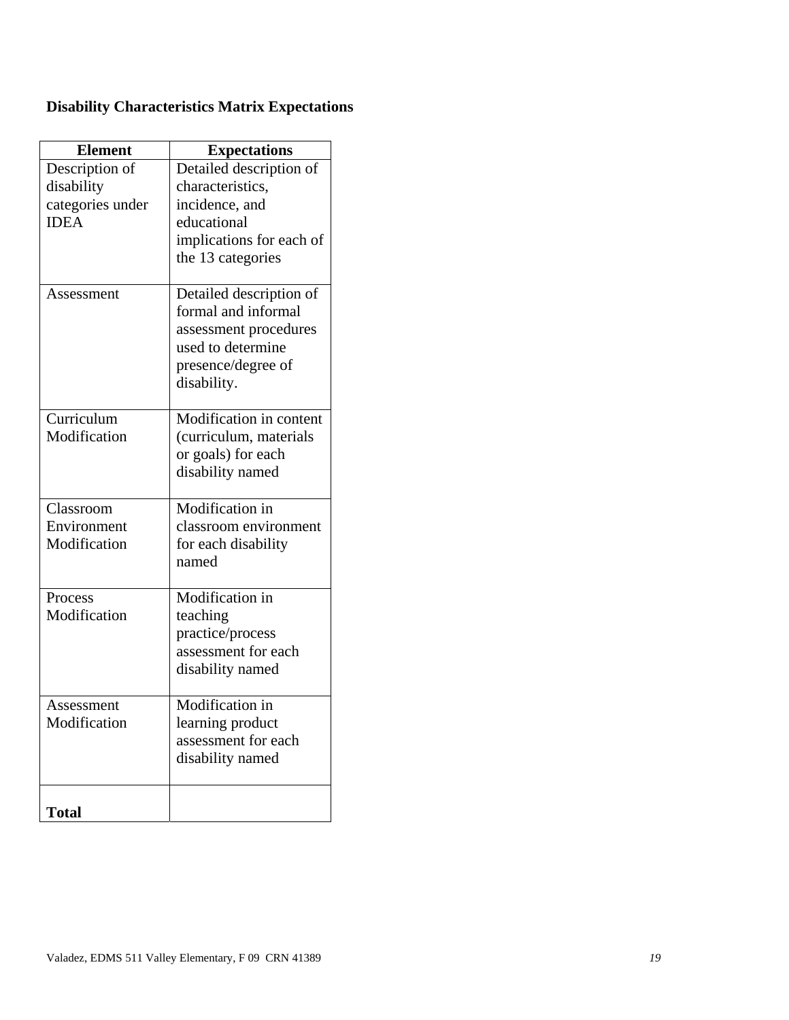|  | <b>Disability Characteristics Matrix Expectations</b> |  |  |
|--|-------------------------------------------------------|--|--|
|--|-------------------------------------------------------|--|--|

| <b>Element</b>   | <b>Expectations</b>      |
|------------------|--------------------------|
| Description of   | Detailed description of  |
| disability       | characteristics,         |
| categories under | incidence, and           |
| <b>IDEA</b>      | educational              |
|                  | implications for each of |
|                  | the 13 categories        |
| Assessment       | Detailed description of  |
|                  | formal and informal      |
|                  | assessment procedures    |
|                  | used to determine        |
|                  | presence/degree of       |
|                  | disability.              |
| Curriculum       | Modification in content  |
| Modification     | (curriculum, materials   |
|                  | or goals) for each       |
|                  | disability named         |
|                  |                          |
| Classroom        | Modification in          |
| Environment      | classroom environment    |
| Modification     | for each disability      |
|                  | named                    |
| Process          | Modification in          |
| Modification     | teaching                 |
|                  | practice/process         |
|                  | assessment for each      |
|                  | disability named         |
| Assessment       | Modification in          |
| Modification     | learning product         |
|                  | assessment for each      |
|                  | disability named         |
| <b>Total</b>     |                          |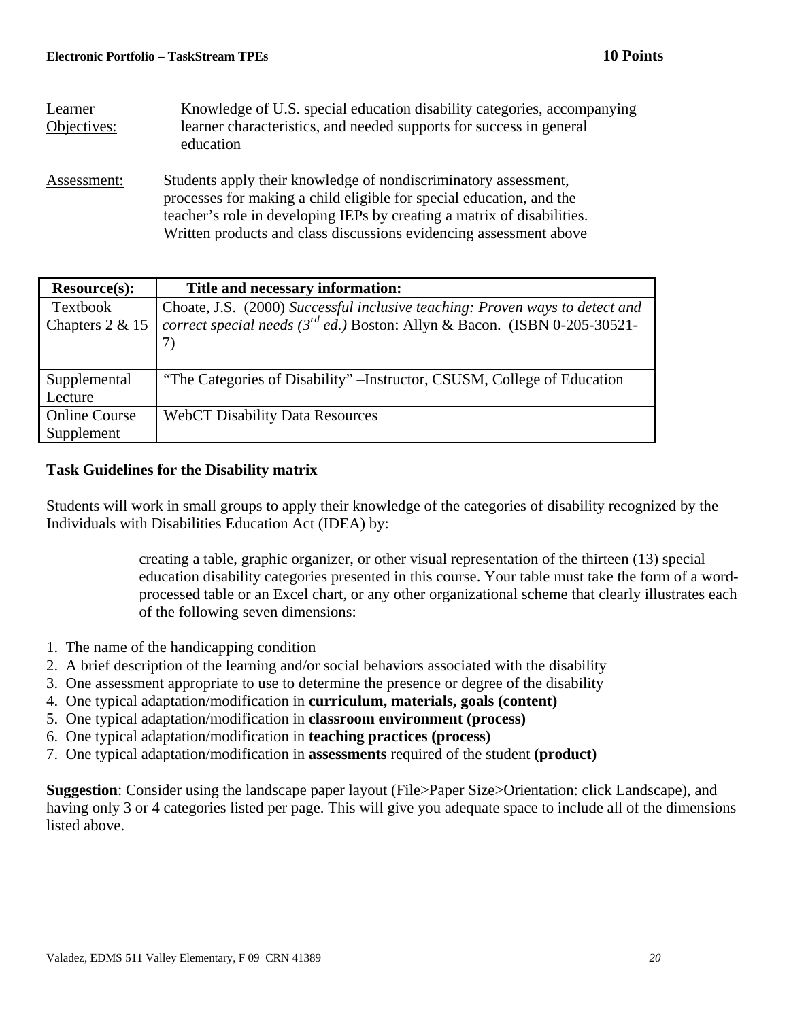| Learner<br>Objectives: | Knowledge of U.S. special education disability categories, accompanying<br>learner characteristics, and needed supports for success in general<br>education                                                                                                                              |
|------------------------|------------------------------------------------------------------------------------------------------------------------------------------------------------------------------------------------------------------------------------------------------------------------------------------|
| Assessment:            | Students apply their knowledge of nondiscriminatory assessment,<br>processes for making a child eligible for special education, and the<br>teacher's role in developing IEPs by creating a matrix of disabilities.<br>Written products and class discussions evidencing assessment above |

| <b>Resource(s):</b>  | Title and necessary information:                                                |
|----------------------|---------------------------------------------------------------------------------|
| Textbook             | Choate, J.S. (2000) Successful inclusive teaching: Proven ways to detect and    |
| Chapters 2 & 15      | correct special needs ( $3^{rd}$ ed.) Boston: Allyn & Bacon. (ISBN 0-205-30521- |
|                      |                                                                                 |
|                      |                                                                                 |
| Supplemental         | "The Categories of Disability" – Instructor, CSUSM, College of Education        |
| Lecture              |                                                                                 |
| <b>Online Course</b> | <b>WebCT Disability Data Resources</b>                                          |
| Supplement           |                                                                                 |

# **Task Guidelines for the Disability matrix**

Students will work in small groups to apply their knowledge of the categories of disability recognized by the Individuals with Disabilities Education Act (IDEA) by:

> creating a table, graphic organizer, or other visual representation of the thirteen (13) special education disability categories presented in this course. Your table must take the form of a wordprocessed table or an Excel chart, or any other organizational scheme that clearly illustrates each of the following seven dimensions:

- 1. The name of the handicapping condition
- 2. A brief description of the learning and/or social behaviors associated with the disability
- 3. One assessment appropriate to use to determine the presence or degree of the disability
- 4. One typical adaptation/modification in **curriculum, materials, goals (content)**
- 5. One typical adaptation/modification in **classroom environment (process)**
- 6. One typical adaptation/modification in **teaching practices (process)**
- 7. One typical adaptation/modification in **assessments** required of the student **(product)**

**Suggestion**: Consider using the landscape paper layout (File>Paper Size>Orientation: click Landscape), and having only 3 or 4 categories listed per page. This will give you adequate space to include all of the dimensions listed above.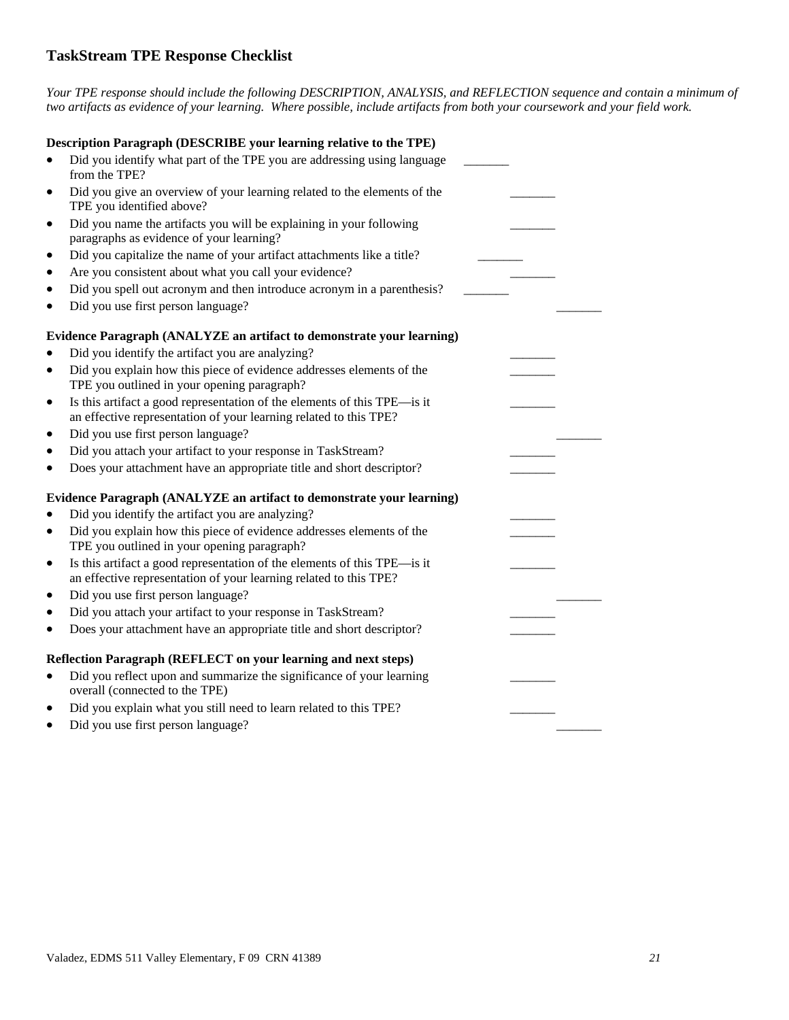# **TaskStream TPE Response Checklist**

*Your TPE response should include the following DESCRIPTION, ANALYSIS, and REFLECTION sequence and contain a minimum of two artifacts as evidence of your learning. Where possible, include artifacts from both your coursework and your field work.* 

| Description Paragraph (DESCRIBE your learning relative to the TPE)                                                                                         |  |
|------------------------------------------------------------------------------------------------------------------------------------------------------------|--|
| Did you identify what part of the TPE you are addressing using language<br>from the TPE?                                                                   |  |
| Did you give an overview of your learning related to the elements of the<br>TPE you identified above?                                                      |  |
| Did you name the artifacts you will be explaining in your following<br>$\bullet$<br>paragraphs as evidence of your learning?                               |  |
| Did you capitalize the name of your artifact attachments like a title?<br>٠                                                                                |  |
| Are you consistent about what you call your evidence?                                                                                                      |  |
| Did you spell out acronym and then introduce acronym in a parenthesis?                                                                                     |  |
| Did you use first person language?                                                                                                                         |  |
| Evidence Paragraph (ANALYZE an artifact to demonstrate your learning)                                                                                      |  |
| Did you identify the artifact you are analyzing?                                                                                                           |  |
| Did you explain how this piece of evidence addresses elements of the<br>$\bullet$                                                                          |  |
| TPE you outlined in your opening paragraph?                                                                                                                |  |
| Is this artifact a good representation of the elements of this TPE—is it<br>٠                                                                              |  |
| an effective representation of your learning related to this TPE?                                                                                          |  |
| Did you use first person language?                                                                                                                         |  |
| Did you attach your artifact to your response in TaskStream?                                                                                               |  |
| Does your attachment have an appropriate title and short descriptor?                                                                                       |  |
| Evidence Paragraph (ANALYZE an artifact to demonstrate your learning)                                                                                      |  |
| Did you identify the artifact you are analyzing?                                                                                                           |  |
| Did you explain how this piece of evidence addresses elements of the<br>$\bullet$<br>TPE you outlined in your opening paragraph?                           |  |
| Is this artifact a good representation of the elements of this TPE—is it<br>$\bullet$<br>an effective representation of your learning related to this TPE? |  |
| Did you use first person language?                                                                                                                         |  |
| Did you attach your artifact to your response in TaskStream?                                                                                               |  |
| Does your attachment have an appropriate title and short descriptor?                                                                                       |  |
| Reflection Paragraph (REFLECT on your learning and next steps)                                                                                             |  |
| Did you reflect upon and summarize the significance of your learning                                                                                       |  |
| overall (connected to the TPE)                                                                                                                             |  |
| Did you explain what you still need to learn related to this TPE?                                                                                          |  |
| Did you use first person language?                                                                                                                         |  |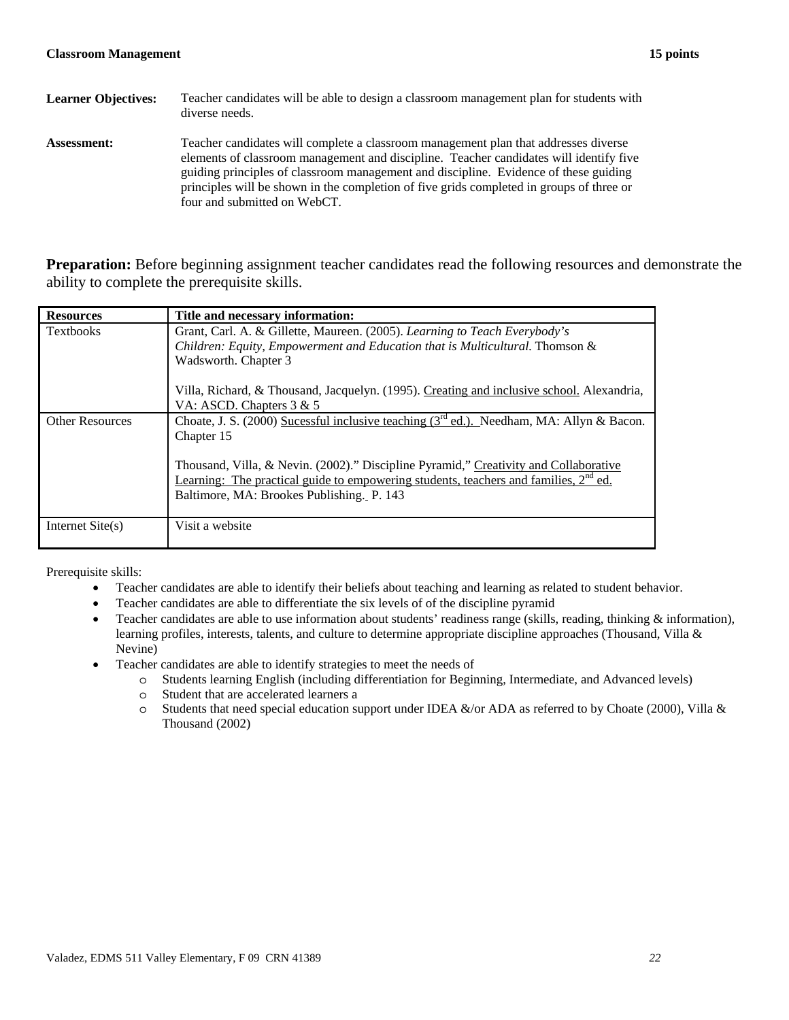| <b>Learner Objectives:</b> | Teacher candidates will be able to design a classroom management plan for students with<br>diverse needs.                                                                                                                                                                                                                                                                                         |
|----------------------------|---------------------------------------------------------------------------------------------------------------------------------------------------------------------------------------------------------------------------------------------------------------------------------------------------------------------------------------------------------------------------------------------------|
| <b>Assessment:</b>         | Teacher candidates will complete a classroom management plan that addresses diverse<br>elements of classroom management and discipline. Teacher candidates will identify five<br>guiding principles of classroom management and discipline. Evidence of these guiding<br>principles will be shown in the completion of five grids completed in groups of three or<br>four and submitted on WebCT. |

**Preparation:** Before beginning assignment teacher candidates read the following resources and demonstrate the ability to complete the prerequisite skills.

| <b>Resources</b>       | Title and necessary information:                                                                                                                                                                                            |
|------------------------|-----------------------------------------------------------------------------------------------------------------------------------------------------------------------------------------------------------------------------|
| <b>Textbooks</b>       | Grant, Carl. A. & Gillette, Maureen. (2005). Learning to Teach Everybody's                                                                                                                                                  |
|                        | Children: Equity, Empowerment and Education that is Multicultural. Thomson &                                                                                                                                                |
|                        | Wadsworth. Chapter 3                                                                                                                                                                                                        |
|                        | Villa, Richard, & Thousand, Jacquelyn. (1995). Creating and inclusive school. Alexandria,<br>VA: ASCD. Chapters $3 & 5$                                                                                                     |
| <b>Other Resources</b> | Choate, J. S. (2000) Sucessful inclusive teaching ( $3rd$ ed.). Needham, MA: Allyn & Bacon.<br>Chapter 15                                                                                                                   |
|                        | Thousand, Villa, & Nevin. (2002)." Discipline Pyramid," Creativity and Collaborative<br>Learning: The practical guide to empowering students, teachers and families, $2nd$ ed.<br>Baltimore, MA: Brookes Publishing. P. 143 |
| Internet $Site(s)$     | Visit a website                                                                                                                                                                                                             |

Prerequisite skills:

- Teacher candidates are able to identify their beliefs about teaching and learning as related to student behavior.
- Teacher candidates are able to differentiate the six levels of of the discipline pyramid
- Teacher candidates are able to use information about students' readiness range (skills, reading, thinking  $\&$  information), learning profiles, interests, talents, and culture to determine appropriate discipline approaches (Thousand, Villa & Nevine)
- Teacher candidates are able to identify strategies to meet the needs of
	- o Students learning English (including differentiation for Beginning, Intermediate, and Advanced levels)
	- o Student that are accelerated learners a
	- $\circ$  Students that need special education support under IDEA &/or ADA as referred to by Choate (2000), Villa & Thousand (2002)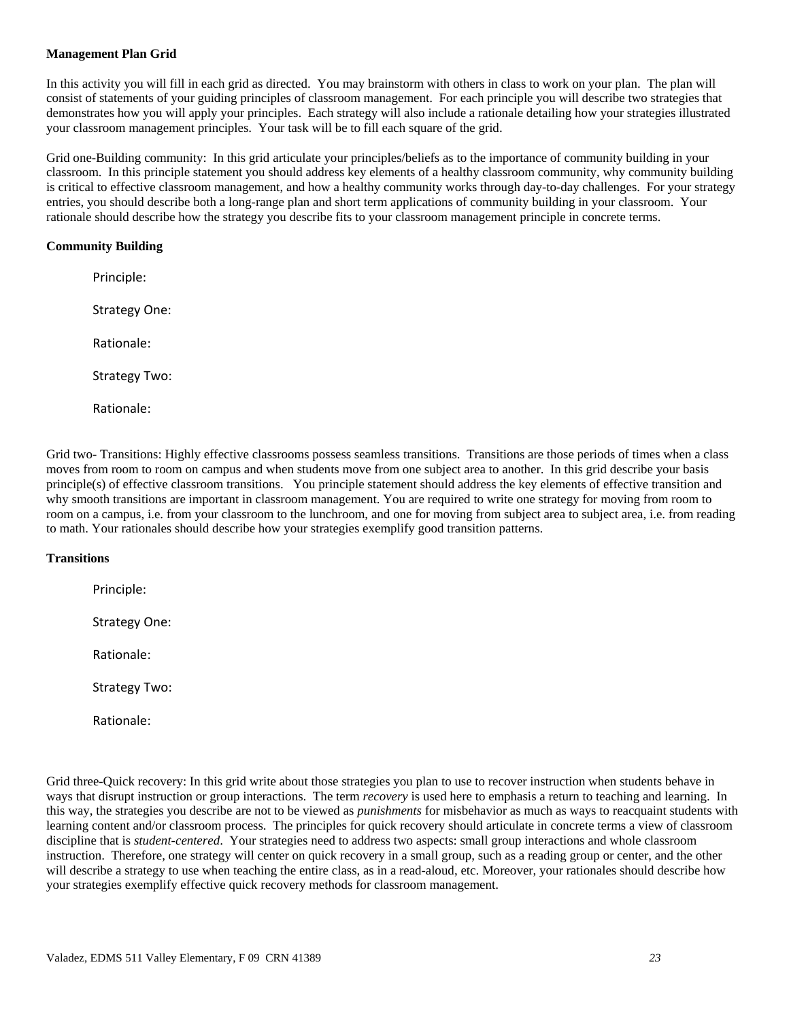## **Management Plan Grid**

In this activity you will fill in each grid as directed. You may brainstorm with others in class to work on your plan. The plan will consist of statements of your guiding principles of classroom management. For each principle you will describe two strategies that demonstrates how you will apply your principles. Each strategy will also include a rationale detailing how your strategies illustrated your classroom management principles. Your task will be to fill each square of the grid.

 entries, you should describe both a long-range plan and short term applications of community building in your classroom. Your rationale should describe how the strategy you describe fits to your classroom management principle in concrete terms. Grid one-Building community: In this grid articulate your principles/beliefs as to the importance of community building in your classroom. In this principle statement you should address key elements of a healthy classroom community, why community building is critical to effective classroom management, and how a healthy community works through day-to-day challenges. For your strategy

## **Community Building**

 Strategy One: Strategy Two: Principle: Rationale: Rationale:

 moves from room to room on campus and when students move from one subject area to another. In this grid describe your basis principle(s) of effective classroom transitions. You principle statement should address the key elements of effective transition and Grid two- Transitions: Highly effective classrooms possess seamless transitions. Transitions are those periods of times when a class why smooth transitions are important in classroom management. You are required to write one strategy for moving from room to room on a campus, i.e. from your classroom to the lunchroom, and one for moving from subject area to subject area, i.e. from reading to math. Your rationales should describe how your strategies exemplify good transition patterns.

## **Transitions**

 Strategy One: Strategy Two: Principle: Rationale:

Rationale:

 this way, the strategies you describe are not to be viewed as *punishments* for misbehavior as much as ways to reacquaint students with discipline that is *student-centered*. Your strategies need to address two aspects: small group interactions and whole classroom Grid three-Quick recovery: In this grid write about those strategies you plan to use to recover instruction when students behave in ways that disrupt instruction or group interactions. The term *recovery* is used here to emphasis a return to teaching and learning. In learning content and/or classroom process. The principles for quick recovery should articulate in concrete terms a view of classroom instruction. Therefore, one strategy will center on quick recovery in a small group, such as a reading group or center, and the other will describe a strategy to use when teaching the entire class, as in a read-aloud, etc. Moreover, your rationales should describe how your strategies exemplify effective quick recovery methods for classroom management.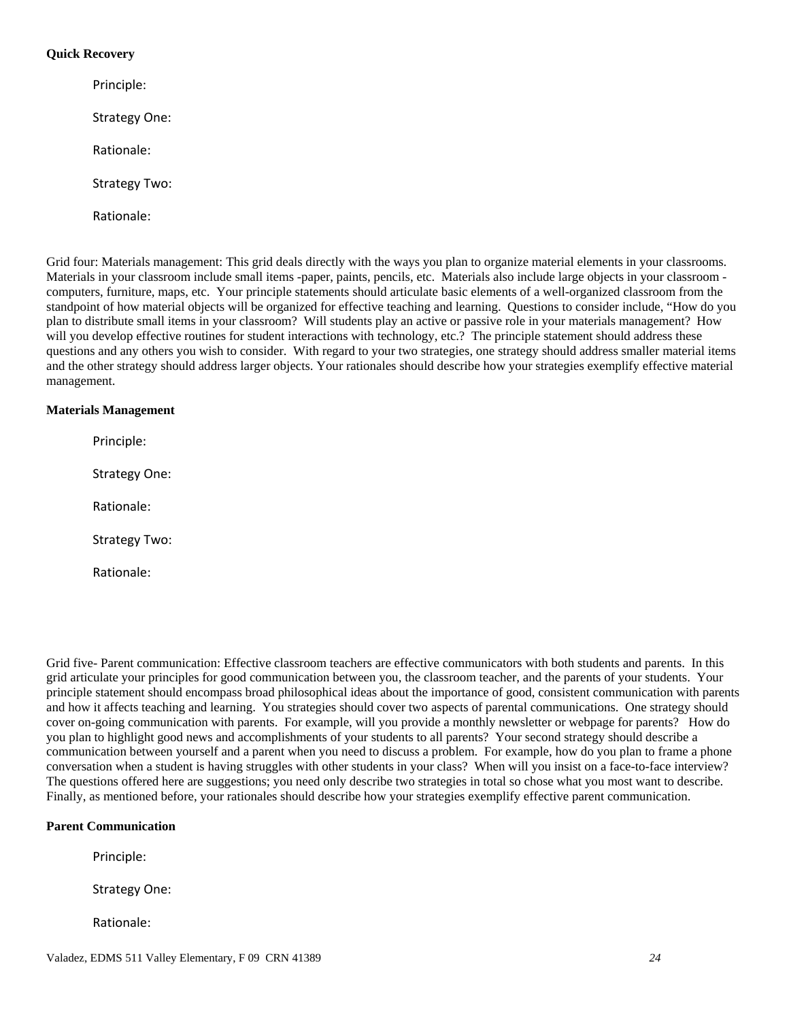## **Quick Recovery**

 Strategy One: Strategy Two: Rationale: Principle: Rationale:

Grid four: Materials management: This grid deals directly with the ways you plan to organize material elements in your classrooms. plan to distribute small items in your classroom? Will students play an active or passive role in your materials management? How Materials in your classroom include small items -paper, paints, pencils, etc. Materials also include large objects in your classroom computers, furniture, maps, etc. Your principle statements should articulate basic elements of a well-organized classroom from the standpoint of how material objects will be organized for effective teaching and learning. Questions to consider include, "How do you will you develop effective routines for student interactions with technology, etc.? The principle statement should address these questions and any others you wish to consider. With regard to your two strategies, one strategy should address smaller material items and the other strategy should address larger objects. Your rationales should describe how your strategies exemplify effective material management.

## **Materials Management**

 Strategy One: Strategy Two: Principle: Rationale: Rationale:

 grid articulate your principles for good communication between you, the classroom teacher, and the parents of your students. Your cover on-going communication with parents. For example, will you provide a monthly newsletter or webpage for parents? How do you plan to highlight good news and accomplishments of your students to all parents? Your second strategy should describe a communication between yourself and a parent when you need to discuss a problem. For example, how do you plan to frame a phone conversation when a student is having struggles with other students in your class? When will you insist on a face-to-face interview? The questions offered here are suggestions; you need only describe two strategies in total so chose what you most want to describe. Grid five- Parent communication: Effective classroom teachers are effective communicators with both students and parents. In this principle statement should encompass broad philosophical ideas about the importance of good, consistent communication with parents and how it affects teaching and learning. You strategies should cover two aspects of parental communications. One strategy should Finally, as mentioned before, your rationales should describe how your strategies exemplify effective parent communication.

## **Parent Communication**

Principle:

Strategy One:

Rationale: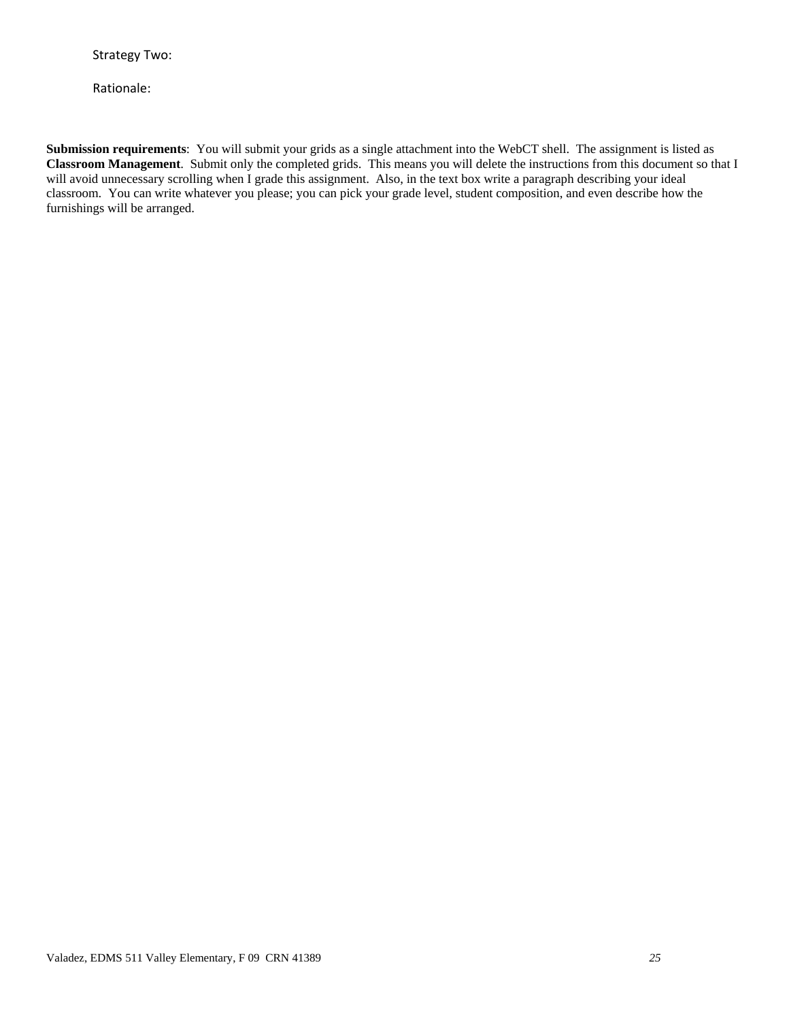Rationale:

 classroom. You can write whatever you please; you can pick your grade level, student composition, and even describe how the furnishings will be arranged. **Submission requirements**: You will submit your grids as a single attachment into the WebCT shell. The assignment is listed as **Classroom Management**. Submit only the completed grids. This means you will delete the instructions from this document so that I will avoid unnecessary scrolling when I grade this assignment. Also, in the text box write a paragraph describing your ideal furnishings will be arranged. Valadez, EDMS 511 Valley Elementary, F 09 CRN 41389 *25*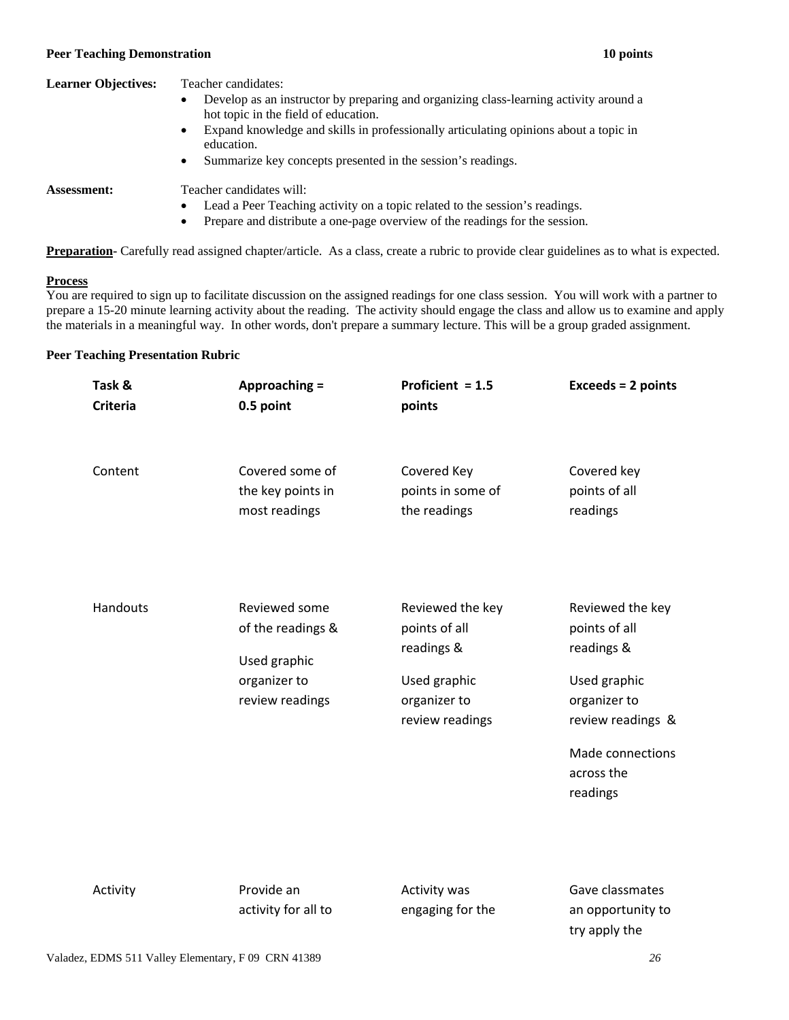#### **Peer Teaching Demonstration 10 points Peer Teaching Demonstration 10 points**

## **Learner Objectives:** Teacher candidates:

- hot topic in the field of education. • Develop as an instructor by preparing and organizing class-learning activity around a
- • Expand knowledge and skills in professionally articulating opinions about a topic in education.
- Summarize key concepts presented in the session's readings.

**Assessment:** Teacher candidates will:

- Lead a Peer Teaching activity on a topic related to the session's readings.
- Prepare and distribute a one-page overview of the readings for the session.

**Preparation-** Carefully read assigned chapter/article. As a class, create a rubric to provide clear guidelines as to what is expected.

#### **Process**

 You are required to sign up to facilitate discussion on the assigned readings for one class session. You will work with a partner to prepare a 15-20 minute learning activity about the reading. The activity should engage the class and allow us to examine and apply the materials in a meaningful way. In other words, don't prepare a summary lecture. This will be a group graded assignment.

## **Peer Teaching Presentation Rubric**

| Task &          | Approaching =                                                                         | Proficient $= 1.5$                                                                                 | <b>Exceeds = 2 points</b>                                                                                                                          |
|-----------------|---------------------------------------------------------------------------------------|----------------------------------------------------------------------------------------------------|----------------------------------------------------------------------------------------------------------------------------------------------------|
| <b>Criteria</b> | 0.5 point                                                                             | points                                                                                             |                                                                                                                                                    |
| Content         | Covered some of                                                                       | Covered Key                                                                                        | Covered key                                                                                                                                        |
|                 | the key points in                                                                     | points in some of                                                                                  | points of all                                                                                                                                      |
|                 | most readings                                                                         | the readings                                                                                       | readings                                                                                                                                           |
| Handouts        | Reviewed some<br>of the readings &<br>Used graphic<br>organizer to<br>review readings | Reviewed the key<br>points of all<br>readings &<br>Used graphic<br>organizer to<br>review readings | Reviewed the key<br>points of all<br>readings &<br>Used graphic<br>organizer to<br>review readings &<br>Made connections<br>across the<br>readings |
| $A = 11.11$     | Daniel also                                                                           | $A = 11.11 + 11.11 + 11.11$                                                                        | $\sim$ $\sim$ $\sim$ $\sim$ $\sim$ $\sim$ $\sim$                                                                                                   |

Activity **Provide an** activity for all to  Activity was engaging for the  Gave classmates an opportunity to try apply the